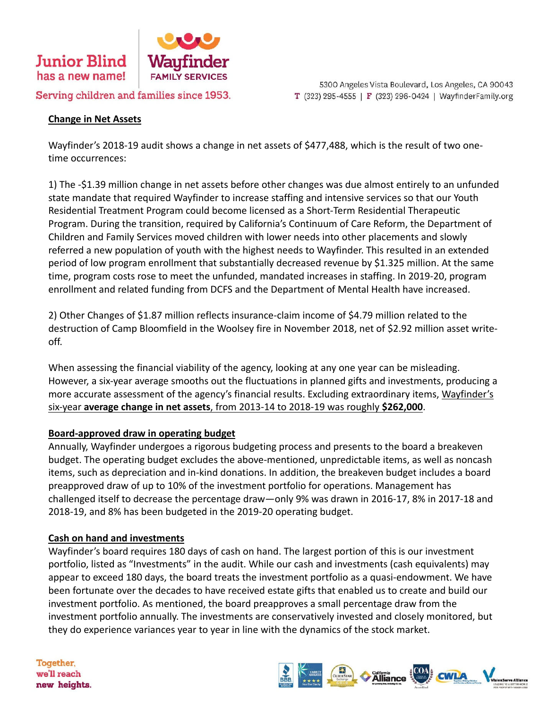

# **Change in Net Assets**

Wayfinder's 2018‐19 audit shows a change in net assets of \$477,488, which is the result of two one‐ time occurrences:

1) The ‐\$1.39 million change in net assets before other changes was due almost entirely to an unfunded state mandate that required Wayfinder to increase staffing and intensive services so that our Youth Residential Treatment Program could become licensed as a Short‐Term Residential Therapeutic Program. During the transition, required by California's Continuum of Care Reform, the Department of Children and Family Services moved children with lower needs into other placements and slowly referred a new population of youth with the highest needs to Wayfinder. This resulted in an extended period of low program enrollment that substantially decreased revenue by \$1.325 million. At the same time, program costs rose to meet the unfunded, mandated increases in staffing. In 2019‐20, program enrollment and related funding from DCFS and the Department of Mental Health have increased.

2) Other Changes of \$1.87 million reflects insurance-claim income of \$4.79 million related to the destruction of Camp Bloomfield in the Woolsey fire in November 2018, net of \$2.92 million asset write‐ off.

When assessing the financial viability of the agency, looking at any one year can be misleading. However, a six‐year average smooths out the fluctuations in planned gifts and investments, producing a more accurate assessment of the agency's financial results. Excluding extraordinary items, Wayfinder's six‐year **average change in net assets**, from 2013‐14 to 2018‐19 was roughly **\$262,000**.

# **Board‐approved draw in operating budget**

Annually, Wayfinder undergoes a rigorous budgeting process and presents to the board a breakeven budget. The operating budget excludes the above‐mentioned, unpredictable items, as well as noncash items, such as depreciation and in‐kind donations. In addition, the breakeven budget includes a board preapproved draw of up to 10% of the investment portfolio for operations. Management has challenged itself to decrease the percentage draw—only 9% was drawn in 2016‐17, 8% in 2017‐18 and 2018‐19, and 8% has been budgeted in the 2019‐20 operating budget.

# **Cash on hand and investments**

Wayfinder's board requires 180 days of cash on hand. The largest portion of this is our investment portfolio, listed as "Investments" in the audit. While our cash and investments (cash equivalents) may appear to exceed 180 days, the board treats the investment portfolio as a quasi-endowment. We have been fortunate over the decades to have received estate gifts that enabled us to create and build our investment portfolio. As mentioned, the board preapproves a small percentage draw from the investment portfolio annually. The investments are conservatively invested and closely monitored, but they do experience variances year to year in line with the dynamics of the stock market.

Together, we'll reach new heights.

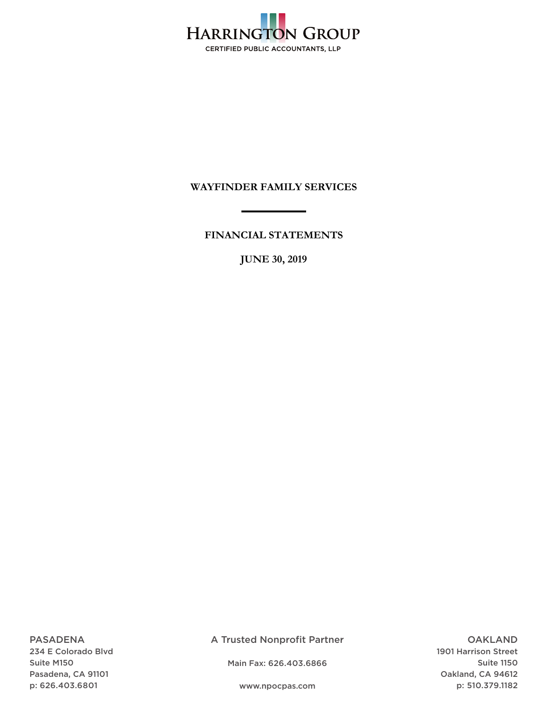

**FINANCIAL STATEMENTS** 

**JUNE 30, 2019** 

PASADENA 234 E Colorado Blvd Suite M150 Pasadena, CA 91101 p: 626.403.6801

A Trusted Nonprofit Partner

Main Fax: 626.403.6866

OAKLAND 1901 Harrison Street Suite 1150 Oakland, CA 94612 p: 510.379.1182

www.npocpas.com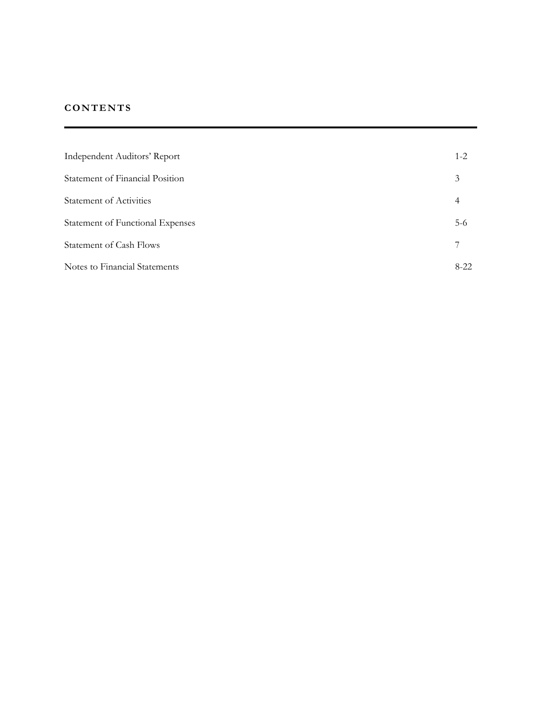# **CONTENTS**

| Independent Auditors' Report            | $1 - 2$ |
|-----------------------------------------|---------|
| Statement of Financial Position         | 3       |
| <b>Statement of Activities</b>          | 4       |
| <b>Statement of Functional Expenses</b> | 5-6     |
| <b>Statement of Cash Flows</b>          | 7       |
| Notes to Financial Statements           | $8-22$  |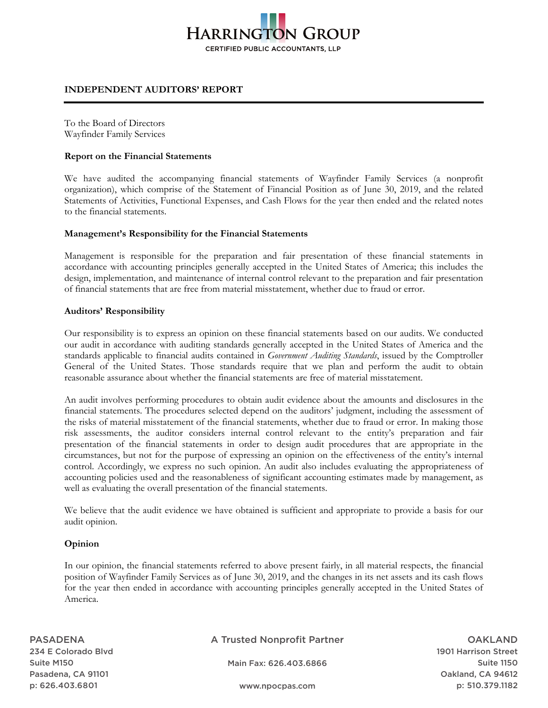# **HARRINGTON GROUP** CERTIFIED PUBLIC ACCOUNTANTS, LLP

# **INDEPENDENT AUDITORS' REPORT**

To the Board of Directors Wayfinder Family Services

#### **Report on the Financial Statements**

We have audited the accompanying financial statements of Wayfinder Family Services (a nonprofit organization), which comprise of the Statement of Financial Position as of June 30, 2019, and the related Statements of Activities, Functional Expenses, and Cash Flows for the year then ended and the related notes to the financial statements.

#### **Management's Responsibility for the Financial Statements**

Management is responsible for the preparation and fair presentation of these financial statements in accordance with accounting principles generally accepted in the United States of America; this includes the design, implementation, and maintenance of internal control relevant to the preparation and fair presentation of financial statements that are free from material misstatement, whether due to fraud or error.

#### **Auditors' Responsibility**

Our responsibility is to express an opinion on these financial statements based on our audits. We conducted our audit in accordance with auditing standards generally accepted in the United States of America and the standards applicable to financial audits contained in *Government Auditing Standards*, issued by the Comptroller General of the United States. Those standards require that we plan and perform the audit to obtain reasonable assurance about whether the financial statements are free of material misstatement.

An audit involves performing procedures to obtain audit evidence about the amounts and disclosures in the financial statements. The procedures selected depend on the auditors' judgment, including the assessment of the risks of material misstatement of the financial statements, whether due to fraud or error. In making those risk assessments, the auditor considers internal control relevant to the entity's preparation and fair presentation of the financial statements in order to design audit procedures that are appropriate in the circumstances, but not for the purpose of expressing an opinion on the effectiveness of the entity's internal control. Accordingly, we express no such opinion. An audit also includes evaluating the appropriateness of accounting policies used and the reasonableness of significant accounting estimates made by management, as well as evaluating the overall presentation of the financial statements.

We believe that the audit evidence we have obtained is sufficient and appropriate to provide a basis for our audit opinion.

# **Opinion**

In our opinion, the financial statements referred to above present fairly, in all material respects, the financial position of Wayfinder Family Services as of June 30, 2019, and the changes in its net assets and its cash flows for the year then ended in accordance with accounting principles generally accepted in the United States of America.

PASADENA 234 E Colorado Blvd Suite M150 Pasadena, CA 91101 p: 626.403.6801

A Trusted Nonprofit Partner

Main Fax: 626.403.6866

OAKLAND 1901 Harrison Street Suite 1150 Oakland, CA 94612 p: 510.379.1182

www.npocpas.com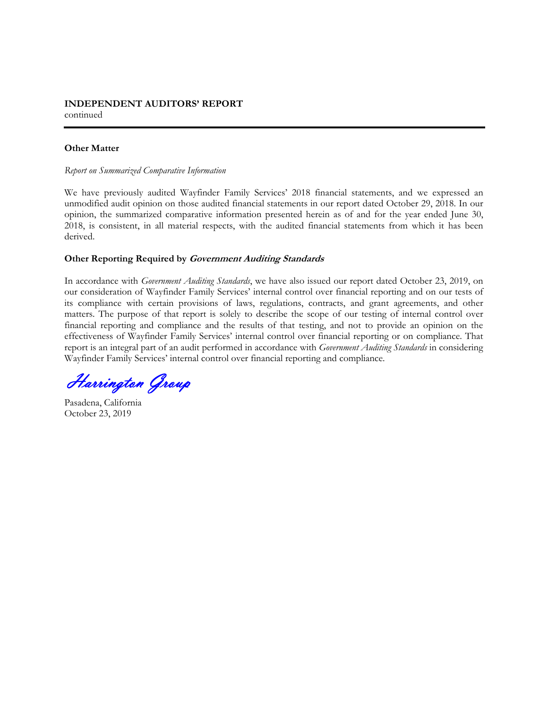# **INDEPENDENT AUDITORS' REPORT**  continued

# **Other Matter**

#### *Report on Summarized Comparative Information*

We have previously audited Wayfinder Family Services' 2018 financial statements, and we expressed an unmodified audit opinion on those audited financial statements in our report dated October 29, 2018. In our opinion, the summarized comparative information presented herein as of and for the year ended June 30, 2018, is consistent, in all material respects, with the audited financial statements from which it has been derived.

#### **Other Reporting Required by Government Auditing Standards**

In accordance with *Government Auditing Standards*, we have also issued our report dated October 23, 2019, on our consideration of Wayfinder Family Services' internal control over financial reporting and on our tests of its compliance with certain provisions of laws, regulations, contracts, and grant agreements, and other matters. The purpose of that report is solely to describe the scope of our testing of internal control over financial reporting and compliance and the results of that testing, and not to provide an opinion on the effectiveness of Wayfinder Family Services' internal control over financial reporting or on compliance. That report is an integral part of an audit performed in accordance with *Government Auditing Standards* in considering Wayfinder Family Services' internal control over financial reporting and compliance.

Harrington Group

Pasadena, California October 23, 2019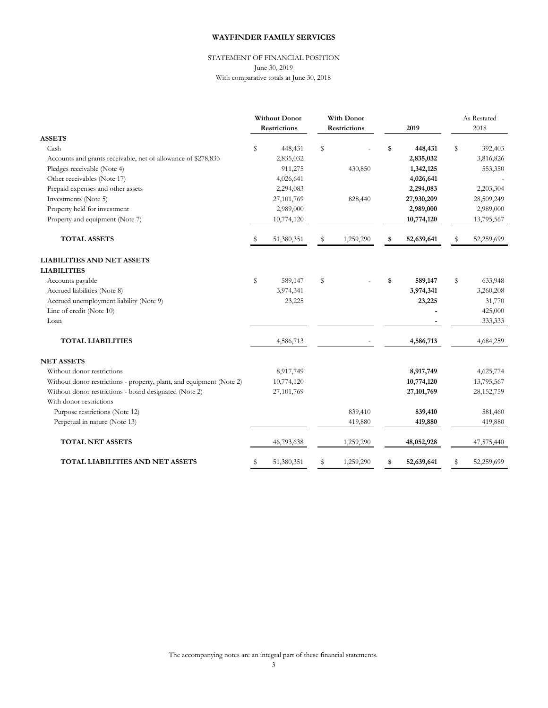#### STATEMENT OF FINANCIAL POSITION June 30, 2019 With comparative totals at June 30, 2018

|                                                                      |    | <b>Without Donor</b> | <b>With Donor</b> |                     |    |            |    | As Restated |
|----------------------------------------------------------------------|----|----------------------|-------------------|---------------------|----|------------|----|-------------|
|                                                                      |    | <b>Restrictions</b>  |                   | <b>Restrictions</b> |    | 2019       |    | 2018        |
| <b>ASSETS</b>                                                        |    |                      |                   |                     |    |            |    |             |
| Cash                                                                 | \$ | 448,431              | \$                |                     | \$ | 448,431    | \$ | 392,403     |
| Accounts and grants receivable, net of allowance of \$278,833        |    | 2,835,032            |                   |                     |    | 2,835,032  |    | 3,816,826   |
| Pledges receivable (Note 4)                                          |    | 911,275              |                   | 430,850             |    | 1,342,125  |    | 553,350     |
| Other receivables (Note 17)                                          |    | 4,026,641            |                   |                     |    | 4,026,641  |    |             |
| Prepaid expenses and other assets                                    |    | 2,294,083            |                   |                     |    | 2,294,083  |    | 2,203,304   |
| Investments (Note 5)                                                 |    | 27,101,769           |                   | 828,440             |    | 27,930,209 |    | 28,509,249  |
| Property held for investment                                         |    | 2,989,000            |                   |                     |    | 2,989,000  |    | 2,989,000   |
| Property and equipment (Note 7)                                      |    | 10,774,120           |                   |                     |    | 10,774,120 |    | 13,795,567  |
| <b>TOTAL ASSETS</b>                                                  | S. | 51,380,351           | \$                | 1,259,290           | \$ | 52,639,641 | s  | 52,259,699  |
| <b>LIABILITIES AND NET ASSETS</b>                                    |    |                      |                   |                     |    |            |    |             |
| <b>LIABILITIES</b>                                                   |    |                      |                   |                     |    |            |    |             |
| Accounts payable                                                     | \$ | 589,147              | \$                |                     | \$ | 589,147    | \$ | 633,948     |
| Accrued liabilities (Note 8)                                         |    | 3,974,341            |                   |                     |    | 3,974,341  |    | 3,260,208   |
| Accrued unemployment liability (Note 9)                              |    | 23,225               |                   |                     |    | 23,225     |    | 31,770      |
| Line of credit (Note 10)                                             |    |                      |                   |                     |    |            |    | 425,000     |
| Loan                                                                 |    |                      |                   |                     |    |            |    | 333,333     |
| <b>TOTAL LIABILITIES</b>                                             |    | 4,586,713            |                   |                     |    | 4,586,713  |    | 4,684,259   |
| <b>NET ASSETS</b>                                                    |    |                      |                   |                     |    |            |    |             |
| Without donor restrictions                                           |    | 8,917,749            |                   |                     |    | 8,917,749  |    | 4,625,774   |
| Without donor restrictions - property, plant, and equipment (Note 2) |    | 10,774,120           |                   |                     |    | 10,774,120 |    | 13,795,567  |
| Without donor restrictions - board designated (Note 2)               |    | 27,101,769           |                   |                     |    | 27,101,769 |    | 28,152,759  |
| With donor restrictions                                              |    |                      |                   |                     |    |            |    |             |
| Purpose restrictions (Note 12)                                       |    |                      |                   | 839,410             |    | 839,410    |    | 581,460     |
| Perpetual in nature (Note 13)                                        |    |                      |                   | 419,880             |    | 419,880    |    | 419,880     |
| <b>TOTAL NET ASSETS</b>                                              |    | 46,793,638           |                   | 1,259,290           |    | 48,052,928 |    | 47,575,440  |
| <b>TOTAL LIABILITIES AND NET ASSETS</b>                              | \$ | 51,380,351           | \$                | 1,259,290           | \$ | 52,639,641 | s  | 52,259,699  |

The accompanying notes are an integral part of these financial statements.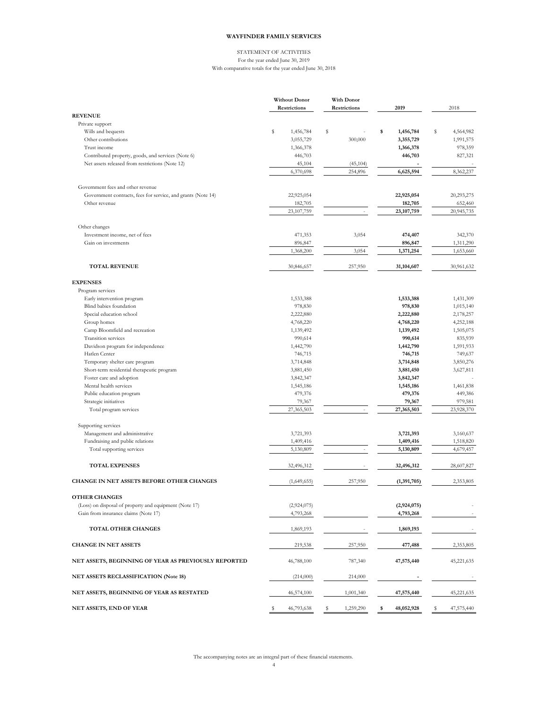#### STATEMENT OF ACTIVITIES For the year ended June 30, 2019 With comparative totals for the year ended June 30, 2018

| <b>REVENUE</b><br>Private support<br>Wills and bequests<br>\$<br>1,456,784<br>\$<br>\$<br>1,456,784<br>\$<br>4,564,982<br>Other contributions<br>3,055,729<br>300,000<br>3,355,729<br>1,991,575<br>Trust income<br>1,366,378<br>1,366,378<br>978,359<br>Contributed property, goods, and services (Note 6)<br>446,703<br>446,703<br>827,321<br>Net assets released from restrictions (Note 12)<br>45,104<br>(45, 104)<br>6,370,698<br>254,896<br>6,625,594<br>8,362,237<br>Government fees and other revenue<br>22,925,054<br>22,925,054<br>Government contracts, fees for service, and grants (Note 14)<br>20,293,275<br>182,705<br>Other revenue<br>182,705<br>652,460<br>23, 107, 759<br>23,107,759<br>20,945,735<br>$\sim$<br>Other changes<br>Investment income, net of fees<br>471,353<br>3,054<br>474,407<br>342,370<br>Gain on investments<br>896,847<br>896,847<br>1,311,290<br>1,368,200<br>3,054<br>1,371,254<br>1,653,660<br><b>TOTAL REVENUE</b><br>257,950<br>31,104,607<br>30,961,632<br>30,846,657<br><b>EXPENSES</b><br>Program services<br>Early intervention program<br>1,533,388<br>1,533,388<br>1,431,309<br>Blind babies foundation<br>978,830<br>978,830<br>1,015,140<br>Special education school<br>2,222,880<br>2,222,880<br>2,178,257<br>4,768,220<br>4,768,220<br>4,252,188<br>Group homes<br>Camp Bloomfield and recreation<br>1,139,492<br>1,139,492<br>1,505,075<br>Transition services<br>990,614<br>990,614<br>835,939<br>Davidson program for independence<br>1,442,790<br>1,442,790<br>1,591,933<br>Hatlen Center<br>746,715<br>746,715<br>749,637<br>Temporary shelter care program<br>3,714,848<br>3,714,848<br>3,850,276<br>Short-term residential therapeutic program<br>3,881,450<br>3,881,450<br>3,627,811<br>Foster care and adoption<br>3,842,347<br>3,842,347<br>Mental health services<br>1,545,186<br>1,545,186<br>1,461,838<br>Public education program<br>479,376<br>479,376<br>449,386<br>79,367<br>979,581<br>Strategic initiatives<br>79,367<br>Total program services<br>27,365,503<br>27,365,503<br>23,928,370<br>$\sim$<br>Supporting services<br>Management and administrative<br>3,721,393<br>3,721,393<br>3,160,637<br>Fundraising and public relations<br>1,409,416<br>1,409,416<br>1,518,820<br>5,130,809<br>5,130,809<br>4,679,457<br>Total supporting services<br>$\overline{\phantom{a}}$<br><b>TOTAL EXPENSES</b><br>32,496,312<br>32,496,312<br>28,607,827<br><b>CHANGE IN NET ASSETS BEFORE OTHER CHANGES</b><br>(1,649,655)<br>257,950<br>(1, 391, 705)<br>2,353,805<br><b>OTHER CHANGES</b><br>(2,924,075)<br>(Loss) on disposal of property and equipment (Note 17)<br>(2,924,075)<br>Gain from insurance claims (Note 17)<br>4,793,268<br>4,793,268<br>TOTAL OTHER CHANGES<br>1,869,193<br>1,869,193<br><b>CHANGE IN NET ASSETS</b><br>219,538<br>257,950<br>477,488<br>2,353,805<br>NET ASSETS, BEGINNING OF YEAR AS PREVIOUSLY REPORTED<br>46,788,100<br>787,340<br>47,575,440<br>45,221,635<br>NET ASSETS RECLASSIFICATION (Note 18)<br>(214,000)<br>214,000<br>NET ASSETS, BEGINNING OF YEAR AS RESTATED<br>46,574,100<br>1,001,340<br>47,575,440<br>45,221,635<br>NET ASSETS, END OF YEAR<br>s<br>46,793,638<br>s<br>1,259,290<br>\$<br>48,052,928<br>\$<br>47,575,440 | <b>Without Donor</b><br>Restrictions | With Donor<br>Restrictions | 2019 | 2018 |
|-------------------------------------------------------------------------------------------------------------------------------------------------------------------------------------------------------------------------------------------------------------------------------------------------------------------------------------------------------------------------------------------------------------------------------------------------------------------------------------------------------------------------------------------------------------------------------------------------------------------------------------------------------------------------------------------------------------------------------------------------------------------------------------------------------------------------------------------------------------------------------------------------------------------------------------------------------------------------------------------------------------------------------------------------------------------------------------------------------------------------------------------------------------------------------------------------------------------------------------------------------------------------------------------------------------------------------------------------------------------------------------------------------------------------------------------------------------------------------------------------------------------------------------------------------------------------------------------------------------------------------------------------------------------------------------------------------------------------------------------------------------------------------------------------------------------------------------------------------------------------------------------------------------------------------------------------------------------------------------------------------------------------------------------------------------------------------------------------------------------------------------------------------------------------------------------------------------------------------------------------------------------------------------------------------------------------------------------------------------------------------------------------------------------------------------------------------------------------------------------------------------------------------------------------------------------------------------------------------------------------------------------------------------------------------------------------------------------------------------------------------------------------------------------------------------------------------------------------------------------------------------------------------------------------------------------------------------------------------------------------------------------------------------------------------------------------------------------------------------------------------------------------------------------------------------------------------------------------------------------------|--------------------------------------|----------------------------|------|------|
|                                                                                                                                                                                                                                                                                                                                                                                                                                                                                                                                                                                                                                                                                                                                                                                                                                                                                                                                                                                                                                                                                                                                                                                                                                                                                                                                                                                                                                                                                                                                                                                                                                                                                                                                                                                                                                                                                                                                                                                                                                                                                                                                                                                                                                                                                                                                                                                                                                                                                                                                                                                                                                                                                                                                                                                                                                                                                                                                                                                                                                                                                                                                                                                                                                                 |                                      |                            |      |      |
|                                                                                                                                                                                                                                                                                                                                                                                                                                                                                                                                                                                                                                                                                                                                                                                                                                                                                                                                                                                                                                                                                                                                                                                                                                                                                                                                                                                                                                                                                                                                                                                                                                                                                                                                                                                                                                                                                                                                                                                                                                                                                                                                                                                                                                                                                                                                                                                                                                                                                                                                                                                                                                                                                                                                                                                                                                                                                                                                                                                                                                                                                                                                                                                                                                                 |                                      |                            |      |      |
|                                                                                                                                                                                                                                                                                                                                                                                                                                                                                                                                                                                                                                                                                                                                                                                                                                                                                                                                                                                                                                                                                                                                                                                                                                                                                                                                                                                                                                                                                                                                                                                                                                                                                                                                                                                                                                                                                                                                                                                                                                                                                                                                                                                                                                                                                                                                                                                                                                                                                                                                                                                                                                                                                                                                                                                                                                                                                                                                                                                                                                                                                                                                                                                                                                                 |                                      |                            |      |      |
|                                                                                                                                                                                                                                                                                                                                                                                                                                                                                                                                                                                                                                                                                                                                                                                                                                                                                                                                                                                                                                                                                                                                                                                                                                                                                                                                                                                                                                                                                                                                                                                                                                                                                                                                                                                                                                                                                                                                                                                                                                                                                                                                                                                                                                                                                                                                                                                                                                                                                                                                                                                                                                                                                                                                                                                                                                                                                                                                                                                                                                                                                                                                                                                                                                                 |                                      |                            |      |      |
|                                                                                                                                                                                                                                                                                                                                                                                                                                                                                                                                                                                                                                                                                                                                                                                                                                                                                                                                                                                                                                                                                                                                                                                                                                                                                                                                                                                                                                                                                                                                                                                                                                                                                                                                                                                                                                                                                                                                                                                                                                                                                                                                                                                                                                                                                                                                                                                                                                                                                                                                                                                                                                                                                                                                                                                                                                                                                                                                                                                                                                                                                                                                                                                                                                                 |                                      |                            |      |      |
|                                                                                                                                                                                                                                                                                                                                                                                                                                                                                                                                                                                                                                                                                                                                                                                                                                                                                                                                                                                                                                                                                                                                                                                                                                                                                                                                                                                                                                                                                                                                                                                                                                                                                                                                                                                                                                                                                                                                                                                                                                                                                                                                                                                                                                                                                                                                                                                                                                                                                                                                                                                                                                                                                                                                                                                                                                                                                                                                                                                                                                                                                                                                                                                                                                                 |                                      |                            |      |      |
|                                                                                                                                                                                                                                                                                                                                                                                                                                                                                                                                                                                                                                                                                                                                                                                                                                                                                                                                                                                                                                                                                                                                                                                                                                                                                                                                                                                                                                                                                                                                                                                                                                                                                                                                                                                                                                                                                                                                                                                                                                                                                                                                                                                                                                                                                                                                                                                                                                                                                                                                                                                                                                                                                                                                                                                                                                                                                                                                                                                                                                                                                                                                                                                                                                                 |                                      |                            |      |      |
|                                                                                                                                                                                                                                                                                                                                                                                                                                                                                                                                                                                                                                                                                                                                                                                                                                                                                                                                                                                                                                                                                                                                                                                                                                                                                                                                                                                                                                                                                                                                                                                                                                                                                                                                                                                                                                                                                                                                                                                                                                                                                                                                                                                                                                                                                                                                                                                                                                                                                                                                                                                                                                                                                                                                                                                                                                                                                                                                                                                                                                                                                                                                                                                                                                                 |                                      |                            |      |      |
|                                                                                                                                                                                                                                                                                                                                                                                                                                                                                                                                                                                                                                                                                                                                                                                                                                                                                                                                                                                                                                                                                                                                                                                                                                                                                                                                                                                                                                                                                                                                                                                                                                                                                                                                                                                                                                                                                                                                                                                                                                                                                                                                                                                                                                                                                                                                                                                                                                                                                                                                                                                                                                                                                                                                                                                                                                                                                                                                                                                                                                                                                                                                                                                                                                                 |                                      |                            |      |      |
|                                                                                                                                                                                                                                                                                                                                                                                                                                                                                                                                                                                                                                                                                                                                                                                                                                                                                                                                                                                                                                                                                                                                                                                                                                                                                                                                                                                                                                                                                                                                                                                                                                                                                                                                                                                                                                                                                                                                                                                                                                                                                                                                                                                                                                                                                                                                                                                                                                                                                                                                                                                                                                                                                                                                                                                                                                                                                                                                                                                                                                                                                                                                                                                                                                                 |                                      |                            |      |      |
|                                                                                                                                                                                                                                                                                                                                                                                                                                                                                                                                                                                                                                                                                                                                                                                                                                                                                                                                                                                                                                                                                                                                                                                                                                                                                                                                                                                                                                                                                                                                                                                                                                                                                                                                                                                                                                                                                                                                                                                                                                                                                                                                                                                                                                                                                                                                                                                                                                                                                                                                                                                                                                                                                                                                                                                                                                                                                                                                                                                                                                                                                                                                                                                                                                                 |                                      |                            |      |      |
|                                                                                                                                                                                                                                                                                                                                                                                                                                                                                                                                                                                                                                                                                                                                                                                                                                                                                                                                                                                                                                                                                                                                                                                                                                                                                                                                                                                                                                                                                                                                                                                                                                                                                                                                                                                                                                                                                                                                                                                                                                                                                                                                                                                                                                                                                                                                                                                                                                                                                                                                                                                                                                                                                                                                                                                                                                                                                                                                                                                                                                                                                                                                                                                                                                                 |                                      |                            |      |      |
|                                                                                                                                                                                                                                                                                                                                                                                                                                                                                                                                                                                                                                                                                                                                                                                                                                                                                                                                                                                                                                                                                                                                                                                                                                                                                                                                                                                                                                                                                                                                                                                                                                                                                                                                                                                                                                                                                                                                                                                                                                                                                                                                                                                                                                                                                                                                                                                                                                                                                                                                                                                                                                                                                                                                                                                                                                                                                                                                                                                                                                                                                                                                                                                                                                                 |                                      |                            |      |      |
|                                                                                                                                                                                                                                                                                                                                                                                                                                                                                                                                                                                                                                                                                                                                                                                                                                                                                                                                                                                                                                                                                                                                                                                                                                                                                                                                                                                                                                                                                                                                                                                                                                                                                                                                                                                                                                                                                                                                                                                                                                                                                                                                                                                                                                                                                                                                                                                                                                                                                                                                                                                                                                                                                                                                                                                                                                                                                                                                                                                                                                                                                                                                                                                                                                                 |                                      |                            |      |      |
|                                                                                                                                                                                                                                                                                                                                                                                                                                                                                                                                                                                                                                                                                                                                                                                                                                                                                                                                                                                                                                                                                                                                                                                                                                                                                                                                                                                                                                                                                                                                                                                                                                                                                                                                                                                                                                                                                                                                                                                                                                                                                                                                                                                                                                                                                                                                                                                                                                                                                                                                                                                                                                                                                                                                                                                                                                                                                                                                                                                                                                                                                                                                                                                                                                                 |                                      |                            |      |      |
|                                                                                                                                                                                                                                                                                                                                                                                                                                                                                                                                                                                                                                                                                                                                                                                                                                                                                                                                                                                                                                                                                                                                                                                                                                                                                                                                                                                                                                                                                                                                                                                                                                                                                                                                                                                                                                                                                                                                                                                                                                                                                                                                                                                                                                                                                                                                                                                                                                                                                                                                                                                                                                                                                                                                                                                                                                                                                                                                                                                                                                                                                                                                                                                                                                                 |                                      |                            |      |      |
|                                                                                                                                                                                                                                                                                                                                                                                                                                                                                                                                                                                                                                                                                                                                                                                                                                                                                                                                                                                                                                                                                                                                                                                                                                                                                                                                                                                                                                                                                                                                                                                                                                                                                                                                                                                                                                                                                                                                                                                                                                                                                                                                                                                                                                                                                                                                                                                                                                                                                                                                                                                                                                                                                                                                                                                                                                                                                                                                                                                                                                                                                                                                                                                                                                                 |                                      |                            |      |      |
|                                                                                                                                                                                                                                                                                                                                                                                                                                                                                                                                                                                                                                                                                                                                                                                                                                                                                                                                                                                                                                                                                                                                                                                                                                                                                                                                                                                                                                                                                                                                                                                                                                                                                                                                                                                                                                                                                                                                                                                                                                                                                                                                                                                                                                                                                                                                                                                                                                                                                                                                                                                                                                                                                                                                                                                                                                                                                                                                                                                                                                                                                                                                                                                                                                                 |                                      |                            |      |      |
|                                                                                                                                                                                                                                                                                                                                                                                                                                                                                                                                                                                                                                                                                                                                                                                                                                                                                                                                                                                                                                                                                                                                                                                                                                                                                                                                                                                                                                                                                                                                                                                                                                                                                                                                                                                                                                                                                                                                                                                                                                                                                                                                                                                                                                                                                                                                                                                                                                                                                                                                                                                                                                                                                                                                                                                                                                                                                                                                                                                                                                                                                                                                                                                                                                                 |                                      |                            |      |      |
|                                                                                                                                                                                                                                                                                                                                                                                                                                                                                                                                                                                                                                                                                                                                                                                                                                                                                                                                                                                                                                                                                                                                                                                                                                                                                                                                                                                                                                                                                                                                                                                                                                                                                                                                                                                                                                                                                                                                                                                                                                                                                                                                                                                                                                                                                                                                                                                                                                                                                                                                                                                                                                                                                                                                                                                                                                                                                                                                                                                                                                                                                                                                                                                                                                                 |                                      |                            |      |      |
|                                                                                                                                                                                                                                                                                                                                                                                                                                                                                                                                                                                                                                                                                                                                                                                                                                                                                                                                                                                                                                                                                                                                                                                                                                                                                                                                                                                                                                                                                                                                                                                                                                                                                                                                                                                                                                                                                                                                                                                                                                                                                                                                                                                                                                                                                                                                                                                                                                                                                                                                                                                                                                                                                                                                                                                                                                                                                                                                                                                                                                                                                                                                                                                                                                                 |                                      |                            |      |      |
|                                                                                                                                                                                                                                                                                                                                                                                                                                                                                                                                                                                                                                                                                                                                                                                                                                                                                                                                                                                                                                                                                                                                                                                                                                                                                                                                                                                                                                                                                                                                                                                                                                                                                                                                                                                                                                                                                                                                                                                                                                                                                                                                                                                                                                                                                                                                                                                                                                                                                                                                                                                                                                                                                                                                                                                                                                                                                                                                                                                                                                                                                                                                                                                                                                                 |                                      |                            |      |      |
|                                                                                                                                                                                                                                                                                                                                                                                                                                                                                                                                                                                                                                                                                                                                                                                                                                                                                                                                                                                                                                                                                                                                                                                                                                                                                                                                                                                                                                                                                                                                                                                                                                                                                                                                                                                                                                                                                                                                                                                                                                                                                                                                                                                                                                                                                                                                                                                                                                                                                                                                                                                                                                                                                                                                                                                                                                                                                                                                                                                                                                                                                                                                                                                                                                                 |                                      |                            |      |      |
|                                                                                                                                                                                                                                                                                                                                                                                                                                                                                                                                                                                                                                                                                                                                                                                                                                                                                                                                                                                                                                                                                                                                                                                                                                                                                                                                                                                                                                                                                                                                                                                                                                                                                                                                                                                                                                                                                                                                                                                                                                                                                                                                                                                                                                                                                                                                                                                                                                                                                                                                                                                                                                                                                                                                                                                                                                                                                                                                                                                                                                                                                                                                                                                                                                                 |                                      |                            |      |      |
|                                                                                                                                                                                                                                                                                                                                                                                                                                                                                                                                                                                                                                                                                                                                                                                                                                                                                                                                                                                                                                                                                                                                                                                                                                                                                                                                                                                                                                                                                                                                                                                                                                                                                                                                                                                                                                                                                                                                                                                                                                                                                                                                                                                                                                                                                                                                                                                                                                                                                                                                                                                                                                                                                                                                                                                                                                                                                                                                                                                                                                                                                                                                                                                                                                                 |                                      |                            |      |      |
|                                                                                                                                                                                                                                                                                                                                                                                                                                                                                                                                                                                                                                                                                                                                                                                                                                                                                                                                                                                                                                                                                                                                                                                                                                                                                                                                                                                                                                                                                                                                                                                                                                                                                                                                                                                                                                                                                                                                                                                                                                                                                                                                                                                                                                                                                                                                                                                                                                                                                                                                                                                                                                                                                                                                                                                                                                                                                                                                                                                                                                                                                                                                                                                                                                                 |                                      |                            |      |      |
|                                                                                                                                                                                                                                                                                                                                                                                                                                                                                                                                                                                                                                                                                                                                                                                                                                                                                                                                                                                                                                                                                                                                                                                                                                                                                                                                                                                                                                                                                                                                                                                                                                                                                                                                                                                                                                                                                                                                                                                                                                                                                                                                                                                                                                                                                                                                                                                                                                                                                                                                                                                                                                                                                                                                                                                                                                                                                                                                                                                                                                                                                                                                                                                                                                                 |                                      |                            |      |      |
|                                                                                                                                                                                                                                                                                                                                                                                                                                                                                                                                                                                                                                                                                                                                                                                                                                                                                                                                                                                                                                                                                                                                                                                                                                                                                                                                                                                                                                                                                                                                                                                                                                                                                                                                                                                                                                                                                                                                                                                                                                                                                                                                                                                                                                                                                                                                                                                                                                                                                                                                                                                                                                                                                                                                                                                                                                                                                                                                                                                                                                                                                                                                                                                                                                                 |                                      |                            |      |      |
|                                                                                                                                                                                                                                                                                                                                                                                                                                                                                                                                                                                                                                                                                                                                                                                                                                                                                                                                                                                                                                                                                                                                                                                                                                                                                                                                                                                                                                                                                                                                                                                                                                                                                                                                                                                                                                                                                                                                                                                                                                                                                                                                                                                                                                                                                                                                                                                                                                                                                                                                                                                                                                                                                                                                                                                                                                                                                                                                                                                                                                                                                                                                                                                                                                                 |                                      |                            |      |      |
|                                                                                                                                                                                                                                                                                                                                                                                                                                                                                                                                                                                                                                                                                                                                                                                                                                                                                                                                                                                                                                                                                                                                                                                                                                                                                                                                                                                                                                                                                                                                                                                                                                                                                                                                                                                                                                                                                                                                                                                                                                                                                                                                                                                                                                                                                                                                                                                                                                                                                                                                                                                                                                                                                                                                                                                                                                                                                                                                                                                                                                                                                                                                                                                                                                                 |                                      |                            |      |      |
|                                                                                                                                                                                                                                                                                                                                                                                                                                                                                                                                                                                                                                                                                                                                                                                                                                                                                                                                                                                                                                                                                                                                                                                                                                                                                                                                                                                                                                                                                                                                                                                                                                                                                                                                                                                                                                                                                                                                                                                                                                                                                                                                                                                                                                                                                                                                                                                                                                                                                                                                                                                                                                                                                                                                                                                                                                                                                                                                                                                                                                                                                                                                                                                                                                                 |                                      |                            |      |      |
|                                                                                                                                                                                                                                                                                                                                                                                                                                                                                                                                                                                                                                                                                                                                                                                                                                                                                                                                                                                                                                                                                                                                                                                                                                                                                                                                                                                                                                                                                                                                                                                                                                                                                                                                                                                                                                                                                                                                                                                                                                                                                                                                                                                                                                                                                                                                                                                                                                                                                                                                                                                                                                                                                                                                                                                                                                                                                                                                                                                                                                                                                                                                                                                                                                                 |                                      |                            |      |      |
|                                                                                                                                                                                                                                                                                                                                                                                                                                                                                                                                                                                                                                                                                                                                                                                                                                                                                                                                                                                                                                                                                                                                                                                                                                                                                                                                                                                                                                                                                                                                                                                                                                                                                                                                                                                                                                                                                                                                                                                                                                                                                                                                                                                                                                                                                                                                                                                                                                                                                                                                                                                                                                                                                                                                                                                                                                                                                                                                                                                                                                                                                                                                                                                                                                                 |                                      |                            |      |      |
|                                                                                                                                                                                                                                                                                                                                                                                                                                                                                                                                                                                                                                                                                                                                                                                                                                                                                                                                                                                                                                                                                                                                                                                                                                                                                                                                                                                                                                                                                                                                                                                                                                                                                                                                                                                                                                                                                                                                                                                                                                                                                                                                                                                                                                                                                                                                                                                                                                                                                                                                                                                                                                                                                                                                                                                                                                                                                                                                                                                                                                                                                                                                                                                                                                                 |                                      |                            |      |      |
|                                                                                                                                                                                                                                                                                                                                                                                                                                                                                                                                                                                                                                                                                                                                                                                                                                                                                                                                                                                                                                                                                                                                                                                                                                                                                                                                                                                                                                                                                                                                                                                                                                                                                                                                                                                                                                                                                                                                                                                                                                                                                                                                                                                                                                                                                                                                                                                                                                                                                                                                                                                                                                                                                                                                                                                                                                                                                                                                                                                                                                                                                                                                                                                                                                                 |                                      |                            |      |      |
|                                                                                                                                                                                                                                                                                                                                                                                                                                                                                                                                                                                                                                                                                                                                                                                                                                                                                                                                                                                                                                                                                                                                                                                                                                                                                                                                                                                                                                                                                                                                                                                                                                                                                                                                                                                                                                                                                                                                                                                                                                                                                                                                                                                                                                                                                                                                                                                                                                                                                                                                                                                                                                                                                                                                                                                                                                                                                                                                                                                                                                                                                                                                                                                                                                                 |                                      |                            |      |      |
|                                                                                                                                                                                                                                                                                                                                                                                                                                                                                                                                                                                                                                                                                                                                                                                                                                                                                                                                                                                                                                                                                                                                                                                                                                                                                                                                                                                                                                                                                                                                                                                                                                                                                                                                                                                                                                                                                                                                                                                                                                                                                                                                                                                                                                                                                                                                                                                                                                                                                                                                                                                                                                                                                                                                                                                                                                                                                                                                                                                                                                                                                                                                                                                                                                                 |                                      |                            |      |      |
|                                                                                                                                                                                                                                                                                                                                                                                                                                                                                                                                                                                                                                                                                                                                                                                                                                                                                                                                                                                                                                                                                                                                                                                                                                                                                                                                                                                                                                                                                                                                                                                                                                                                                                                                                                                                                                                                                                                                                                                                                                                                                                                                                                                                                                                                                                                                                                                                                                                                                                                                                                                                                                                                                                                                                                                                                                                                                                                                                                                                                                                                                                                                                                                                                                                 |                                      |                            |      |      |
|                                                                                                                                                                                                                                                                                                                                                                                                                                                                                                                                                                                                                                                                                                                                                                                                                                                                                                                                                                                                                                                                                                                                                                                                                                                                                                                                                                                                                                                                                                                                                                                                                                                                                                                                                                                                                                                                                                                                                                                                                                                                                                                                                                                                                                                                                                                                                                                                                                                                                                                                                                                                                                                                                                                                                                                                                                                                                                                                                                                                                                                                                                                                                                                                                                                 |                                      |                            |      |      |
|                                                                                                                                                                                                                                                                                                                                                                                                                                                                                                                                                                                                                                                                                                                                                                                                                                                                                                                                                                                                                                                                                                                                                                                                                                                                                                                                                                                                                                                                                                                                                                                                                                                                                                                                                                                                                                                                                                                                                                                                                                                                                                                                                                                                                                                                                                                                                                                                                                                                                                                                                                                                                                                                                                                                                                                                                                                                                                                                                                                                                                                                                                                                                                                                                                                 |                                      |                            |      |      |
|                                                                                                                                                                                                                                                                                                                                                                                                                                                                                                                                                                                                                                                                                                                                                                                                                                                                                                                                                                                                                                                                                                                                                                                                                                                                                                                                                                                                                                                                                                                                                                                                                                                                                                                                                                                                                                                                                                                                                                                                                                                                                                                                                                                                                                                                                                                                                                                                                                                                                                                                                                                                                                                                                                                                                                                                                                                                                                                                                                                                                                                                                                                                                                                                                                                 |                                      |                            |      |      |
|                                                                                                                                                                                                                                                                                                                                                                                                                                                                                                                                                                                                                                                                                                                                                                                                                                                                                                                                                                                                                                                                                                                                                                                                                                                                                                                                                                                                                                                                                                                                                                                                                                                                                                                                                                                                                                                                                                                                                                                                                                                                                                                                                                                                                                                                                                                                                                                                                                                                                                                                                                                                                                                                                                                                                                                                                                                                                                                                                                                                                                                                                                                                                                                                                                                 |                                      |                            |      |      |
|                                                                                                                                                                                                                                                                                                                                                                                                                                                                                                                                                                                                                                                                                                                                                                                                                                                                                                                                                                                                                                                                                                                                                                                                                                                                                                                                                                                                                                                                                                                                                                                                                                                                                                                                                                                                                                                                                                                                                                                                                                                                                                                                                                                                                                                                                                                                                                                                                                                                                                                                                                                                                                                                                                                                                                                                                                                                                                                                                                                                                                                                                                                                                                                                                                                 |                                      |                            |      |      |
|                                                                                                                                                                                                                                                                                                                                                                                                                                                                                                                                                                                                                                                                                                                                                                                                                                                                                                                                                                                                                                                                                                                                                                                                                                                                                                                                                                                                                                                                                                                                                                                                                                                                                                                                                                                                                                                                                                                                                                                                                                                                                                                                                                                                                                                                                                                                                                                                                                                                                                                                                                                                                                                                                                                                                                                                                                                                                                                                                                                                                                                                                                                                                                                                                                                 |                                      |                            |      |      |
|                                                                                                                                                                                                                                                                                                                                                                                                                                                                                                                                                                                                                                                                                                                                                                                                                                                                                                                                                                                                                                                                                                                                                                                                                                                                                                                                                                                                                                                                                                                                                                                                                                                                                                                                                                                                                                                                                                                                                                                                                                                                                                                                                                                                                                                                                                                                                                                                                                                                                                                                                                                                                                                                                                                                                                                                                                                                                                                                                                                                                                                                                                                                                                                                                                                 |                                      |                            |      |      |
|                                                                                                                                                                                                                                                                                                                                                                                                                                                                                                                                                                                                                                                                                                                                                                                                                                                                                                                                                                                                                                                                                                                                                                                                                                                                                                                                                                                                                                                                                                                                                                                                                                                                                                                                                                                                                                                                                                                                                                                                                                                                                                                                                                                                                                                                                                                                                                                                                                                                                                                                                                                                                                                                                                                                                                                                                                                                                                                                                                                                                                                                                                                                                                                                                                                 |                                      |                            |      |      |
|                                                                                                                                                                                                                                                                                                                                                                                                                                                                                                                                                                                                                                                                                                                                                                                                                                                                                                                                                                                                                                                                                                                                                                                                                                                                                                                                                                                                                                                                                                                                                                                                                                                                                                                                                                                                                                                                                                                                                                                                                                                                                                                                                                                                                                                                                                                                                                                                                                                                                                                                                                                                                                                                                                                                                                                                                                                                                                                                                                                                                                                                                                                                                                                                                                                 |                                      |                            |      |      |
|                                                                                                                                                                                                                                                                                                                                                                                                                                                                                                                                                                                                                                                                                                                                                                                                                                                                                                                                                                                                                                                                                                                                                                                                                                                                                                                                                                                                                                                                                                                                                                                                                                                                                                                                                                                                                                                                                                                                                                                                                                                                                                                                                                                                                                                                                                                                                                                                                                                                                                                                                                                                                                                                                                                                                                                                                                                                                                                                                                                                                                                                                                                                                                                                                                                 |                                      |                            |      |      |
|                                                                                                                                                                                                                                                                                                                                                                                                                                                                                                                                                                                                                                                                                                                                                                                                                                                                                                                                                                                                                                                                                                                                                                                                                                                                                                                                                                                                                                                                                                                                                                                                                                                                                                                                                                                                                                                                                                                                                                                                                                                                                                                                                                                                                                                                                                                                                                                                                                                                                                                                                                                                                                                                                                                                                                                                                                                                                                                                                                                                                                                                                                                                                                                                                                                 |                                      |                            |      |      |

The accompanying notes are an integral part of these financial statements.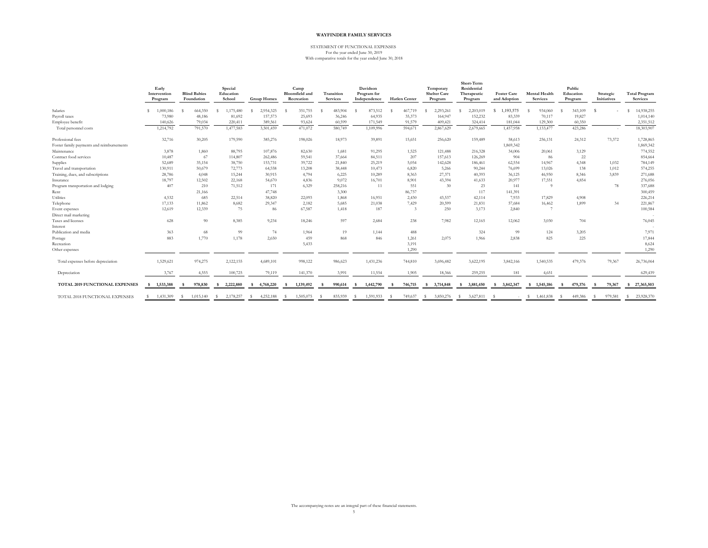#### STATEMENT OF FUNCTIONAL EXPENSES For the year ended June 30, 2019 With comparative totals for the year ended June 30, 2018

|                                           | Early<br>Intervention<br>Program | <b>Blind Babies</b><br>Foundation | Special<br>Education<br>School | <b>Group Homes</b> | Camp<br><b>Bloomfield and</b><br>Recreation | Transition<br><b>Services</b> | Davidson<br>Program for<br>Independence | <b>Hatlen Center</b> | Temporary<br><b>Shelter Care</b><br>Program | Short-Term<br>Residential<br>Therapeutic<br>Program | <b>Foster Care</b><br>and Adoption | <b>Mental Health</b><br><b>Services</b> | Public<br>Education<br>Program | Strategic<br><b>Initiatives</b> | <b>Total Program</b><br><b>Services</b> |
|-------------------------------------------|----------------------------------|-----------------------------------|--------------------------------|--------------------|---------------------------------------------|-------------------------------|-----------------------------------------|----------------------|---------------------------------------------|-----------------------------------------------------|------------------------------------|-----------------------------------------|--------------------------------|---------------------------------|-----------------------------------------|
| Salaries                                  | 1,000,186                        | 664,350                           | 1,175,480                      | 2,954,325          | 351,755                                     | 483,904                       | 873,512                                 | 467,719              | 2,293,261                                   | 2,203,019                                           | 1.193.575                          | 934,060                                 | 343,109<br>$\mathbf{S}$        | $\mathbf{s}$                    | 14,938,255<br>- S                       |
| Payroll taxes                             | 73,980                           | 48,186                            | 81,692                         | 157,573            | 25,693                                      | 36,246                        | 64,935                                  | 35,373               | 164,947                                     | 152,232                                             | 83,339                             | 70,117                                  | 19,827                         |                                 | 1,014,140                               |
| Employee benefit                          | 140,626                          | 79,034                            | 220,411                        | 389,561            | 93,624                                      | 60,599                        | 171,549                                 | 91,579               | 409,421                                     | 324,414                                             | 181,044                            | 129,300                                 | 60,350                         |                                 | 2,351,512                               |
| Total personnel costs                     | 1,214,792                        | 791,570                           | 1,477,583                      | 3,501,459          | 471,072                                     | 580,749                       | 1,109,996                               | 594,671              | 2,867,629                                   | 2,679,665                                           | 1,457,958                          | 1,133,477                               | 423,286                        |                                 | 18,303,907                              |
| Professional fees                         | 32,716                           | 30,205                            | 179,590                        | 385,276            | 198,026                                     | 18,973                        | 39,891                                  | 15,651               | 256,620                                     | 159,489                                             | 58,613                             | 256,131                                 | 24,312                         | 73,372                          | 1,728,865                               |
| Foster family payments and reimbursements |                                  |                                   |                                |                    |                                             |                               |                                         |                      |                                             |                                                     | 1,869,342                          |                                         |                                |                                 | 1,869,342                               |
| Maintenance                               | 3,878                            | 1,860                             | 88,795                         | 107,876            | 82,630                                      | 1,681                         | 91,295                                  | 1,525                | 121,488                                     | 216,328                                             | 34,006                             | 20,061                                  | 3,129                          |                                 | 774,552                                 |
| Contract food services                    | 10,487                           | 67                                | 114,807                        | 262,486            | 59,541                                      | 37,664                        | 84,511                                  | 207                  | 157,613                                     | 126,269                                             | 904                                | 86                                      | 22                             |                                 | 854,664                                 |
| Supplies                                  | 52,689                           | 35,154                            | 38,750                         | 153,731            | 39,722                                      | 21,840                        | 25,219                                  | 5,054                | 142,628                                     | 186,461                                             | 62,554                             | 14,967                                  | 4,348                          | 1,032                           | 784,149                                 |
| Travel and transportation                 | 130,911                          | 50,679                            | 72,773                         | 64,558             | 13,208                                      | 38,448                        | 10,473                                  | 6,820                | 5,266                                       | 90,244                                              | 76,699                             | 13,026                                  | 138                            | 1,012                           | 574,255                                 |
| Training, dues, and subscriptions         | 28,786                           | 4,048                             | 15,244                         | 30,915             | 4,794                                       | 6,225                         | 10,289                                  | 8,363                | 27,371                                      | 40,393                                              | 36,125                             | 46,950                                  | 8,346                          | 3.839                           | 271,688                                 |
| Insurance                                 | 18,797                           | 12,502                            | 22,168                         | 54,670             | 4,836                                       | 9,072                         | 16,701                                  | 8,901                | 43,394                                      | 41,633                                              | 20,977                             | 17,551                                  | 4,854                          |                                 | 276,056                                 |
| Program transportation and lodging        | 407                              | 210                               | 71,512                         | 171                | 6,329                                       | 258,216                       | 11                                      | 551                  | 30                                          | 23                                                  | 141                                | $_{0}$                                  |                                | 78                              | 337,688                                 |
| Rent                                      |                                  | 21,166                            |                                | 47,748             |                                             | 3,300                         |                                         | 86,737               |                                             | 117                                                 | 141,391                            |                                         |                                |                                 | 300,459                                 |
| Utilities                                 | 4,532                            | 685                               | 22,514                         | 38,820             | 22,093                                      | 1,868                         | 16,951                                  | 2,430                | 43.537                                      | 42,114                                              | 7,933                              | 17,829                                  | 4,908                          |                                 | 226,214                                 |
| Telephone                                 | 17,133                           | 11,862                            | 8,682                          | 29,347             | 2,182                                       | 5,685                         | 21,038                                  | 7,429                | 20,599                                      | 21,831                                              | 57,684                             | 16,462                                  | 1,899                          | 34                              | 221,867                                 |
| Event expenses                            | 12,619                           | 12,339                            | 75                             | 86                 | 67,587                                      | 1,418                         | 187                                     | 3                    | 250                                         | 3,173                                               | 2,840                              | $\mathcal{I}$                           |                                |                                 | 100,584                                 |
| Direct mail marketing                     |                                  |                                   |                                |                    |                                             |                               |                                         |                      |                                             |                                                     |                                    |                                         |                                |                                 |                                         |
| Taxes and licenses                        | 628                              | 90                                | 8,385                          | 9.234              | 18,246                                      | 597                           | 2,684                                   | 238                  | 7,982                                       | 12,165                                              | 12.062                             | 3,030                                   | 704                            |                                 | 76,045                                  |
| Interest                                  |                                  |                                   |                                |                    |                                             |                               |                                         |                      |                                             |                                                     |                                    |                                         |                                |                                 |                                         |
| Publication and media                     | 363                              | 68                                | 99                             | 74                 | 1,964                                       | 19                            | 1,144                                   | 488                  |                                             | 324                                                 | -99                                | 124                                     | 3,205                          |                                 | 7,971                                   |
| Postage                                   | 883                              | 1,770                             | 1,178                          | 2,650              | 459                                         | 868                           | 846                                     | 1,261                | 2,075                                       | 1.966                                               | 2,838                              | 825                                     | 225                            |                                 | 17,844                                  |
| Recreation                                |                                  |                                   |                                |                    | 5,433                                       |                               |                                         | 3,191                |                                             |                                                     |                                    |                                         |                                |                                 | 8,624                                   |
| Other expenses                            |                                  |                                   |                                |                    |                                             |                               |                                         | 1,290                |                                             |                                                     |                                    |                                         |                                |                                 | 1,290                                   |
| Total expenses before depreciation        | 1,529,621                        | 974,275                           | 2,122,155                      | 4,689,101          | 998,122                                     | 986,623                       | 1,431,236                               | 744,810              | 3,696,482                                   | 3,622,195                                           | 3,842,166                          | 1,540,535                               | 479,376                        | 79,367                          | 26,736,064                              |
| Depreciation                              | 3,767                            | 4,555                             | 100,725                        | 79,119             | 141,370                                     | 3,991                         | 11,554                                  | 1,905                | 18,366                                      | 259,255                                             | 181                                | 4,651                                   |                                |                                 | 629,439                                 |
| <b>TOTAL 2019 FUNCTIONAL EXPENSES</b>     | \$1,533,388                      | 978,830<br>- \$                   | 2,222,880<br>s.                | \$4,768,220        | 1,139,492<br>- S                            | 990,614<br>s                  | 1,442,790<br>- S                        | 746,715<br>-S        | \$ 3,714,848                                | \$ 3,881,450                                        | \$3,842,347                        | \$ 1,545,186                            | 479,376<br>s.                  | 79,367<br>- S                   | \$ 27,365,503                           |
| TOTAL 2018 FUNCTIONAL EXPENSES            | 1,431,309                        | 1,015,140<br>-S                   | 2,178,257<br>-S                | 4,252,188<br>-S    | 1,505,075<br>- S                            | 835,939<br>-S                 | 1,591,933<br>s.                         | 749,637<br>- S       | 3,850,276<br>- S                            | 3,627,811<br>s.                                     | - S                                | $-$ \$ 1,461,838                        | 449,386<br>-S                  | 979,581<br>- S                  | 23,928,370<br>-S                        |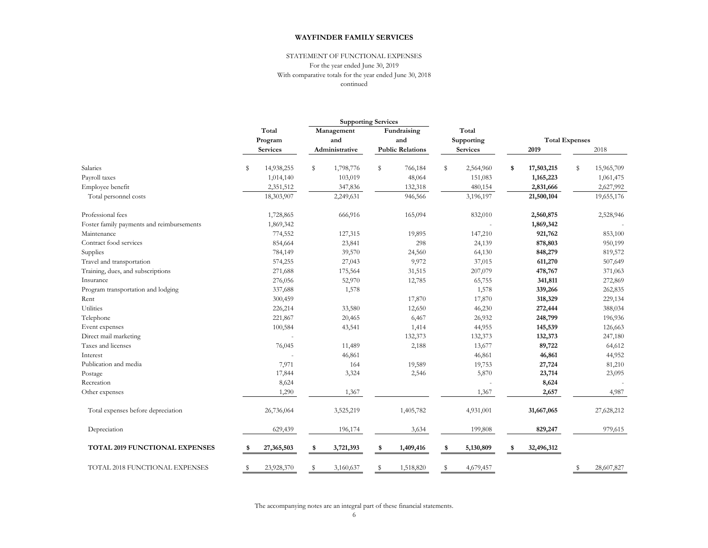#### continued STATEMENT OF FUNCTIONAL EXPENSES For the year ended June 30, 2019 With comparative totals for the year ended June 30, 2018

|                                           |                  | <b>Supporting Services</b>              |                         |                 |                  |                       |
|-------------------------------------------|------------------|-----------------------------------------|-------------------------|-----------------|------------------|-----------------------|
|                                           | Total            | Fundraising<br>Management<br>and<br>and |                         | Total           |                  |                       |
|                                           | Program          |                                         |                         | Supporting      |                  | <b>Total Expenses</b> |
|                                           | <b>Services</b>  | Administrative                          | <b>Public Relations</b> | <b>Services</b> | 2019             | 2018                  |
| Salaries                                  | 14,938,255<br>\$ | \$<br>1,798,776                         | \$<br>766,184           | \$<br>2,564,960 | \$<br>17,503,215 | s<br>15,965,709       |
| Payroll taxes                             | 1,014,140        | 103,019                                 | 48,064                  | 151,083         | 1,165,223        | 1,061,475             |
| Employee benefit                          | 2,351,512        | 347,836                                 | 132,318                 | 480,154         | 2,831,666        | 2,627,992             |
| Total personnel costs                     | 18,303,907       | 2,249,631                               | 946,566                 | 3,196,197       | 21,500,104       | 19,655,176            |
| Professional fees                         | 1,728,865        | 666,916                                 | 165,094                 | 832,010         | 2,560,875        | 2,528,946             |
| Foster family payments and reimbursements | 1,869,342        |                                         |                         |                 | 1,869,342        |                       |
| Maintenance                               | 774,552          | 127,315                                 | 19,895                  | 147,210         | 921,762          | 853,100               |
| Contract food services                    | 854,664          | 23,841                                  | 298                     | 24,139          | 878,803          | 950,199               |
| Supplies                                  | 784,149          | 39,570                                  | 24,560                  | 64,130          | 848,279          | 819,572               |
| Travel and transportation                 | 574,255          | 27,043                                  | 9,972                   | 37,015          | 611,270          | 507,649               |
| Training, dues, and subscriptions         | 271,688          | 175,564                                 | 31,515                  | 207,079         | 478,767          | 371,063               |
| Insurance                                 | 276,056          | 52,970                                  | 12,785                  | 65,755          | 341,811          | 272,869               |
| Program transportation and lodging        | 337,688          | 1,578                                   |                         | 1,578           | 339,266          | 262,835               |
| Rent                                      | 300,459          |                                         | 17,870                  | 17,870          | 318,329          | 229,134               |
| Utilities                                 | 226,214          | 33,580                                  | 12,650                  | 46,230          | 272,444          | 388,034               |
| Telephone                                 | 221,867          | 20,465                                  | 6,467                   | 26,932          | 248,799          | 196,936               |
| Event expenses                            | 100,584          | 43,541                                  | 1,414                   | 44,955          | 145,539          | 126,663               |
| Direct mail marketing                     |                  |                                         | 132,373                 | 132,373         | 132,373          | 247,180               |
| Taxes and licenses                        | 76,045           | 11,489                                  | 2,188                   | 13,677          | 89,722           | 64,612                |
| Interest                                  |                  | 46,861                                  |                         | 46,861          | 46,861           | 44,952                |
| Publication and media                     | 7,971            | 164                                     | 19,589                  | 19,753          | 27,724           | 81,210                |
| Postage                                   | 17,844           | 3,324                                   | 2,546                   | 5,870           | 23,714           | 23,095                |
| Recreation                                | 8,624            |                                         |                         |                 | 8,624            |                       |
| Other expenses                            | 1,290            | 1,367                                   |                         | 1,367           | 2,657            | 4,987                 |
| Total expenses before depreciation        | 26,736,064       | 3,525,219                               | 1,405,782               | 4,931,001       | 31,667,065       | 27,628,212            |
| Depreciation                              | 629,439          | 196,174                                 | 3,634                   | 199,808         | 829,247          | 979,615               |
| <b>TOTAL 2019 FUNCTIONAL EXPENSES</b>     | 27,365,503<br>\$ | 3,721,393<br>\$                         | 1,409,416<br>\$         | 5,130,809<br>\$ | 32,496,312<br>\$ |                       |
| TOTAL 2018 FUNCTIONAL EXPENSES            | 23,928,370<br>S  | 3,160,637<br>S                          | 1,518,820<br>S          | 4,679,457<br>\$ |                  | 28,607,827<br>S       |

The accompanying notes are an integral part of these financial statements.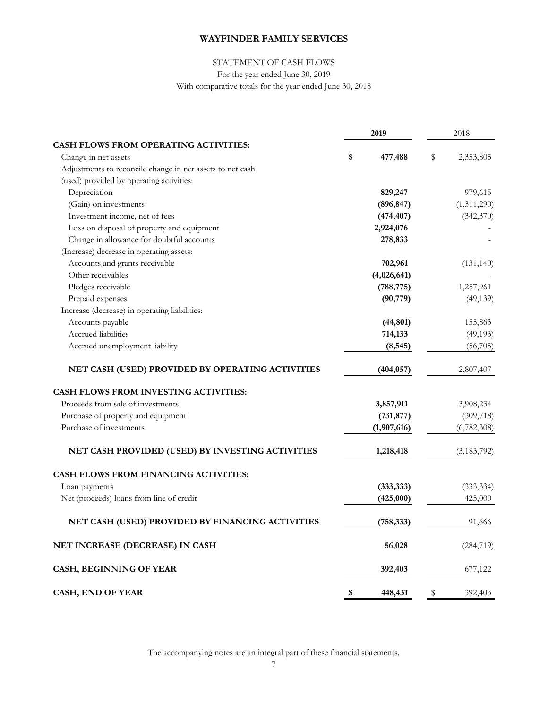# STATEMENT OF CASH FLOWS

For the year ended June 30, 2019

With comparative totals for the year ended June 30, 2018

|                                                           | 2019          | 2018            |
|-----------------------------------------------------------|---------------|-----------------|
| <b>CASH FLOWS FROM OPERATING ACTIVITIES:</b>              |               |                 |
| Change in net assets                                      | \$<br>477,488 | \$<br>2,353,805 |
| Adjustments to reconcile change in net assets to net cash |               |                 |
| (used) provided by operating activities:                  |               |                 |
| Depreciation                                              | 829,247       | 979,615         |
| (Gain) on investments                                     | (896, 847)    | (1,311,290)     |
| Investment income, net of fees                            | (474, 407)    | (342, 370)      |
| Loss on disposal of property and equipment                | 2,924,076     |                 |
| Change in allowance for doubtful accounts                 | 278,833       |                 |
| (Increase) decrease in operating assets:                  |               |                 |
| Accounts and grants receivable                            | 702,961       | (131, 140)      |
| Other receivables                                         | (4,026,641)   |                 |
| Pledges receivable                                        | (788, 775)    | 1,257,961       |
| Prepaid expenses                                          | (90, 779)     | (49, 139)       |
| Increase (decrease) in operating liabilities:             |               |                 |
| Accounts payable                                          | (44, 801)     | 155,863         |
| Accrued liabilities                                       | 714,133       | (49, 193)       |
| Accrued unemployment liability                            | (8, 545)      | (56, 705)       |
| NET CASH (USED) PROVIDED BY OPERATING ACTIVITIES          | (404, 057)    | 2,807,407       |
| <b>CASH FLOWS FROM INVESTING ACTIVITIES:</b>              |               |                 |
| Proceeds from sale of investments                         | 3,857,911     | 3,908,234       |
| Purchase of property and equipment                        | (731, 877)    | (309, 718)      |
| Purchase of investments                                   | (1,907,616)   | (6,782,308)     |
| NET CASH PROVIDED (USED) BY INVESTING ACTIVITIES          | 1,218,418     | (3,183,792)     |
| <b>CASH FLOWS FROM FINANCING ACTIVITIES:</b>              |               |                 |
| Loan payments                                             | (333, 333)    | (333, 334)      |
| Net (proceeds) loans from line of credit                  | (425,000)     | 425,000         |
| NET CASH (USED) PROVIDED BY FINANCING ACTIVITIES          | (758, 333)    | 91,666          |
| NET INCREASE (DECREASE) IN CASH                           | 56,028        | (284, 719)      |
| CASH, BEGINNING OF YEAR                                   | 392,403       | 677,122         |
| <b>CASH, END OF YEAR</b>                                  | \$<br>448,431 | \$<br>392,403   |

The accompanying notes are an integral part of these financial statements.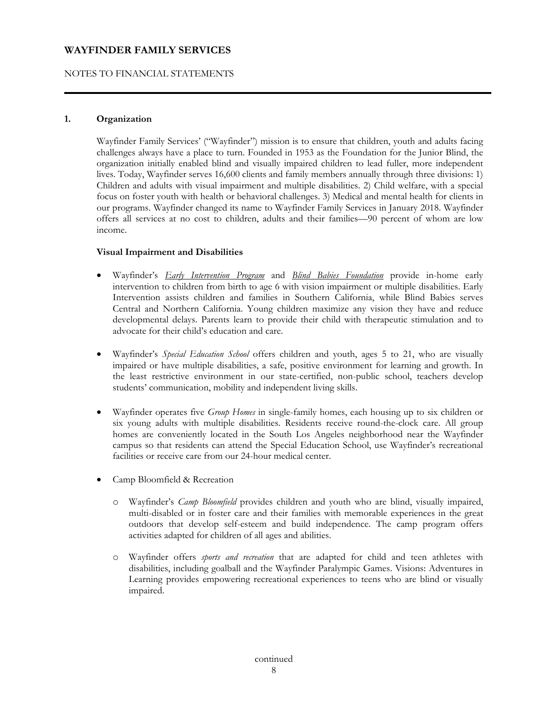# NOTES TO FINANCIAL STATEMENTS

#### **1. Organization**

Wayfinder Family Services' ("Wayfinder") mission is to ensure that children, youth and adults facing challenges always have a place to turn. Founded in 1953 as the Foundation for the Junior Blind, the organization initially enabled blind and visually impaired children to lead fuller, more independent lives. Today, Wayfinder serves 16,600 clients and family members annually through three divisions: 1) Children and adults with visual impairment and multiple disabilities. 2) Child welfare, with a special focus on foster youth with health or behavioral challenges. 3) Medical and mental health for clients in our programs. Wayfinder changed its name to Wayfinder Family Services in January 2018. Wayfinder offers all services at no cost to children, adults and their families—90 percent of whom are low income.

#### **Visual Impairment and Disabilities**

- Wayfinder's *Early Intervention Program* and *Blind Babies Foundation* provide in-home early intervention to children from birth to age 6 with vision impairment or multiple disabilities. Early Intervention assists children and families in Southern California, while Blind Babies serves Central and Northern California. Young children maximize any vision they have and reduce developmental delays. Parents learn to provide their child with therapeutic stimulation and to advocate for their child's education and care.
- Wayfinder's *Special Education School* offers children and youth, ages 5 to 21, who are visually impaired or have multiple disabilities, a safe, positive environment for learning and growth. In the least restrictive environment in our state-certified, non-public school, teachers develop students' communication, mobility and independent living skills.
- Wayfinder operates five *Group Homes* in single-family homes, each housing up to six children or six young adults with multiple disabilities. Residents receive round-the-clock care. All group homes are conveniently located in the South Los Angeles neighborhood near the Wayfinder campus so that residents can attend the Special Education School, use Wayfinder's recreational facilities or receive care from our 24-hour medical center.
- Camp Bloomfield & Recreation
	- o Wayfinder's *Camp Bloomfield* provides children and youth who are blind, visually impaired, multi-disabled or in foster care and their families with memorable experiences in the great outdoors that develop self-esteem and build independence. The camp program offers activities adapted for children of all ages and abilities.
	- o Wayfinder offers *sports and recreation* that are adapted for child and teen athletes with disabilities, including goalball and the Wayfinder Paralympic Games. Visions: Adventures in Learning provides empowering recreational experiences to teens who are blind or visually impaired.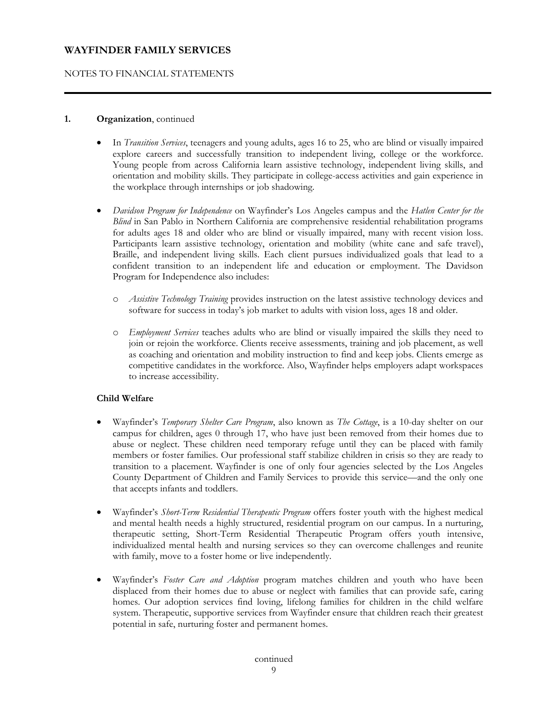# NOTES TO FINANCIAL STATEMENTS

#### **1. Organization**, continued

- In *Transition Services*, teenagers and young adults, ages 16 to 25, who are blind or visually impaired explore careers and successfully transition to independent living, college or the workforce. Young people from across California learn assistive technology, independent living skills, and orientation and mobility skills. They participate in college-access activities and gain experience in the workplace through internships or job shadowing.
- *Davidson Program for Independence* on Wayfinder's Los Angeles campus and the *Hatlen Center for the Blind* in San Pablo in Northern California are comprehensive residential rehabilitation programs for adults ages 18 and older who are blind or visually impaired, many with recent vision loss. Participants learn assistive technology, orientation and mobility (white cane and safe travel), Braille, and independent living skills. Each client pursues individualized goals that lead to a confident transition to an independent life and education or employment. The Davidson Program for Independence also includes:
	- o *Assistive Technology Training* provides instruction on the latest assistive technology devices and software for success in today's job market to adults with vision loss, ages 18 and older.
	- o *Employment Services* teaches adults who are blind or visually impaired the skills they need to join or rejoin the workforce. Clients receive assessments, training and job placement, as well as coaching and orientation and mobility instruction to find and keep jobs. Clients emerge as competitive candidates in the workforce. Also, Wayfinder helps employers adapt workspaces to increase accessibility.

# **Child Welfare**

- Wayfinder's *Temporary Shelter Care Program*, also known as *The Cottage*, is a 10-day shelter on our campus for children, ages 0 through 17, who have just been removed from their homes due to abuse or neglect. These children need temporary refuge until they can be placed with family members or foster families. Our professional staff stabilize children in crisis so they are ready to transition to a placement. Wayfinder is one of only four agencies selected by the Los Angeles County Department of Children and Family Services to provide this service—and the only one that accepts infants and toddlers.
- Wayfinder's *Short-Term Residential Therapeutic Program* offers foster youth with the highest medical and mental health needs a highly structured, residential program on our campus. In a nurturing, therapeutic setting, Short-Term Residential Therapeutic Program offers youth intensive, individualized mental health and nursing services so they can overcome challenges and reunite with family, move to a foster home or live independently.
- Wayfinder's *Foster Care and Adoption* program matches children and youth who have been displaced from their homes due to abuse or neglect with families that can provide safe, caring homes. Our adoption services find loving, lifelong families for children in the child welfare system. Therapeutic, supportive services from Wayfinder ensure that children reach their greatest potential in safe, nurturing foster and permanent homes.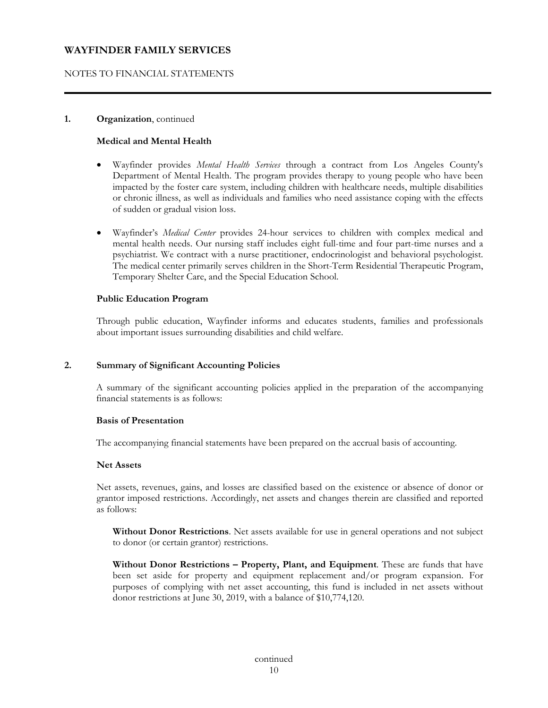# NOTES TO FINANCIAL STATEMENTS

#### **1. Organization**, continued

#### **Medical and Mental Health**

- Wayfinder provides *Mental Health Services* through a contract from Los Angeles County's Department of Mental Health. The program provides therapy to young people who have been impacted by the foster care system, including children with healthcare needs, multiple disabilities or chronic illness, as well as individuals and families who need assistance coping with the effects of sudden or gradual vision loss.
- Wayfinder's *Medical Center* provides 24-hour services to children with complex medical and mental health needs. Our nursing staff includes eight full-time and four part-time nurses and a psychiatrist. We contract with a nurse practitioner, endocrinologist and behavioral psychologist. The medical center primarily serves children in the Short-Term Residential Therapeutic Program, Temporary Shelter Care, and the Special Education School.

#### **Public Education Program**

Through public education, Wayfinder informs and educates students, families and professionals about important issues surrounding disabilities and child welfare.

#### **2. Summary of Significant Accounting Policies**

 A summary of the significant accounting policies applied in the preparation of the accompanying financial statements is as follows:

#### **Basis of Presentation**

The accompanying financial statements have been prepared on the accrual basis of accounting.

#### **Net Assets**

Net assets, revenues, gains, and losses are classified based on the existence or absence of donor or grantor imposed restrictions. Accordingly, net assets and changes therein are classified and reported as follows:

**Without Donor Restrictions**. Net assets available for use in general operations and not subject to donor (or certain grantor) restrictions.

 **Without Donor Restrictions – Property, Plant, and Equipment**. These are funds that have been set aside for property and equipment replacement and/or program expansion. For purposes of complying with net asset accounting, this fund is included in net assets without donor restrictions at June 30, 2019, with a balance of \$10,774,120.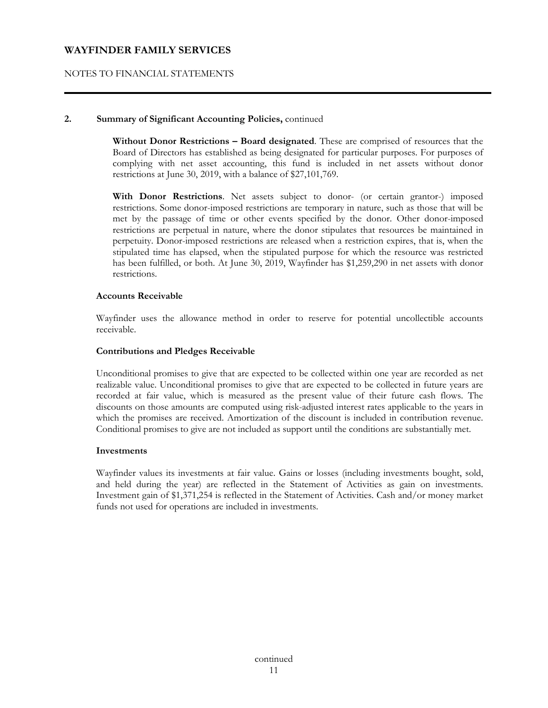# NOTES TO FINANCIAL STATEMENTS

#### **2. Summary of Significant Accounting Policies,** continued

 **Without Donor Restrictions – Board designated**. These are comprised of resources that the Board of Directors has established as being designated for particular purposes. For purposes of complying with net asset accounting, this fund is included in net assets without donor restrictions at June 30, 2019, with a balance of \$27,101,769.

**With Donor Restrictions**. Net assets subject to donor- (or certain grantor-) imposed restrictions. Some donor-imposed restrictions are temporary in nature, such as those that will be met by the passage of time or other events specified by the donor. Other donor-imposed restrictions are perpetual in nature, where the donor stipulates that resources be maintained in perpetuity. Donor-imposed restrictions are released when a restriction expires, that is, when the stipulated time has elapsed, when the stipulated purpose for which the resource was restricted has been fulfilled, or both. At June 30, 2019, Wayfinder has \$1,259,290 in net assets with donor restrictions.

#### **Accounts Receivable**

 Wayfinder uses the allowance method in order to reserve for potential uncollectible accounts receivable.

#### **Contributions and Pledges Receivable**

 Unconditional promises to give that are expected to be collected within one year are recorded as net realizable value. Unconditional promises to give that are expected to be collected in future years are recorded at fair value, which is measured as the present value of their future cash flows. The discounts on those amounts are computed using risk-adjusted interest rates applicable to the years in which the promises are received. Amortization of the discount is included in contribution revenue. Conditional promises to give are not included as support until the conditions are substantially met.

#### **Investments**

 Wayfinder values its investments at fair value. Gains or losses (including investments bought, sold, and held during the year) are reflected in the Statement of Activities as gain on investments. Investment gain of \$1,371,254 is reflected in the Statement of Activities. Cash and/or money market funds not used for operations are included in investments.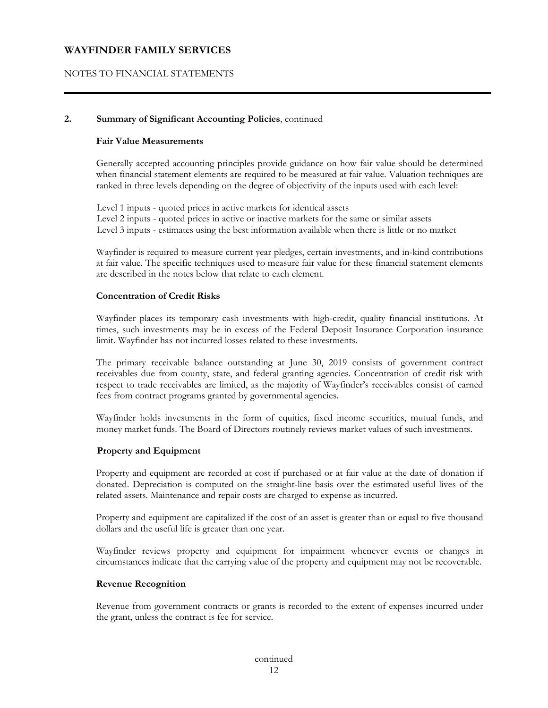# NOTES TO FINANCIAL STATEMENTS

#### **2. Summary of Significant Accounting Policies**, continued

#### **Fair Value Measurements**

Generally accepted accounting principles provide guidance on how fair value should be determined when financial statement elements are required to be measured at fair value. Valuation techniques are ranked in three levels depending on the degree of objectivity of the inputs used with each level:

Level 1 inputs - quoted prices in active markets for identical assets Level 2 inputs - quoted prices in active or inactive markets for the same or similar assets Level 3 inputs - estimates using the best information available when there is little or no market

 Wayfinder is required to measure current year pledges, certain investments, and in-kind contributions at fair value. The specific techniques used to measure fair value for these financial statement elements are described in the notes below that relate to each element.

#### **Concentration of Credit Risks**

 Wayfinder places its temporary cash investments with high-credit, quality financial institutions. At times, such investments may be in excess of the Federal Deposit Insurance Corporation insurance limit. Wayfinder has not incurred losses related to these investments.

 The primary receivable balance outstanding at June 30, 2019 consists of government contract receivables due from county, state, and federal granting agencies. Concentration of credit risk with respect to trade receivables are limited, as the majority of Wayfinder's receivables consist of earned fees from contract programs granted by governmental agencies.

 Wayfinder holds investments in the form of equities, fixed income securities, mutual funds, and money market funds. The Board of Directors routinely reviews market values of such investments.

#### **Property and Equipment**

 Property and equipment are recorded at cost if purchased or at fair value at the date of donation if donated. Depreciation is computed on the straight-line basis over the estimated useful lives of the related assets. Maintenance and repair costs are charged to expense as incurred.

 Property and equipment are capitalized if the cost of an asset is greater than or equal to five thousand dollars and the useful life is greater than one year.

 Wayfinder reviews property and equipment for impairment whenever events or changes in circumstances indicate that the carrying value of the property and equipment may not be recoverable.

#### **Revenue Recognition**

Revenue from government contracts or grants is recorded to the extent of expenses incurred under the grant, unless the contract is fee for service.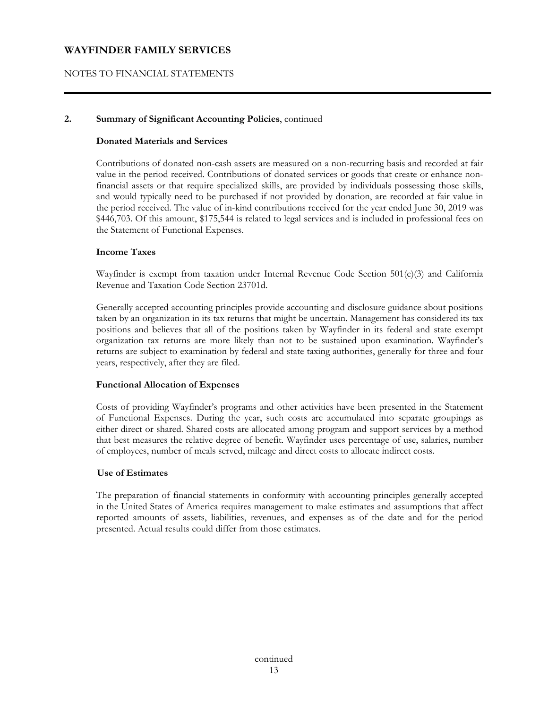# NOTES TO FINANCIAL STATEMENTS

#### **2. Summary of Significant Accounting Policies**, continued

#### **Donated Materials and Services**

 Contributions of donated non-cash assets are measured on a non-recurring basis and recorded at fair value in the period received. Contributions of donated services or goods that create or enhance nonfinancial assets or that require specialized skills, are provided by individuals possessing those skills, and would typically need to be purchased if not provided by donation, are recorded at fair value in the period received. The value of in-kind contributions received for the year ended June 30, 2019 was \$446,703. Of this amount, \$175,544 is related to legal services and is included in professional fees on the Statement of Functional Expenses.

#### **Income Taxes**

Wayfinder is exempt from taxation under Internal Revenue Code Section  $501(c)(3)$  and California Revenue and Taxation Code Section 23701d.

Generally accepted accounting principles provide accounting and disclosure guidance about positions taken by an organization in its tax returns that might be uncertain. Management has considered its tax positions and believes that all of the positions taken by Wayfinder in its federal and state exempt organization tax returns are more likely than not to be sustained upon examination. Wayfinder's returns are subject to examination by federal and state taxing authorities, generally for three and four years, respectively, after they are filed.

#### **Functional Allocation of Expenses**

 Costs of providing Wayfinder's programs and other activities have been presented in the Statement of Functional Expenses. During the year, such costs are accumulated into separate groupings as either direct or shared. Shared costs are allocated among program and support services by a method that best measures the relative degree of benefit. Wayfinder uses percentage of use, salaries, number of employees, number of meals served, mileage and direct costs to allocate indirect costs.

#### **Use of Estimates**

 The preparation of financial statements in conformity with accounting principles generally accepted in the United States of America requires management to make estimates and assumptions that affect reported amounts of assets, liabilities, revenues, and expenses as of the date and for the period presented. Actual results could differ from those estimates.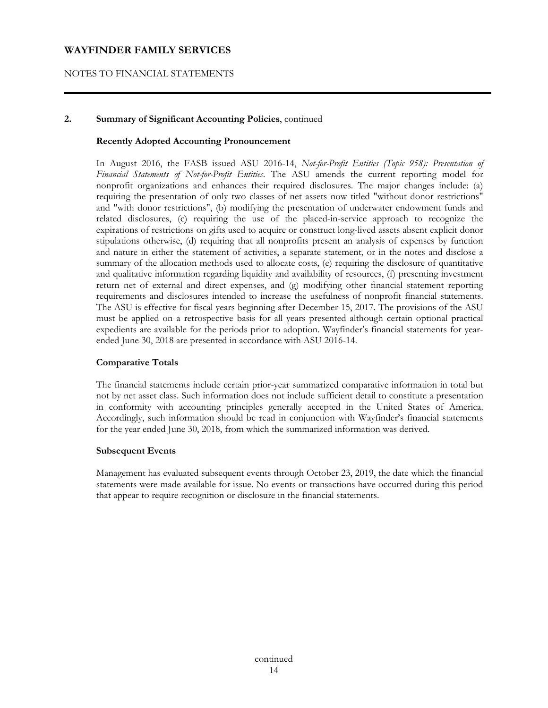# NOTES TO FINANCIAL STATEMENTS

### **2. Summary of Significant Accounting Policies**, continued

#### **Recently Adopted Accounting Pronouncement**

 In August 2016, the FASB issued ASU 2016-14, *Not-for-Profit Entities (Topic 958): Presentation of Financial Statements of Not-for-Profit Entities*. The ASU amends the current reporting model for nonprofit organizations and enhances their required disclosures. The major changes include: (a) requiring the presentation of only two classes of net assets now titled "without donor restrictions" and "with donor restrictions", (b) modifying the presentation of underwater endowment funds and related disclosures, (c) requiring the use of the placed-in-service approach to recognize the expirations of restrictions on gifts used to acquire or construct long-lived assets absent explicit donor stipulations otherwise, (d) requiring that all nonprofits present an analysis of expenses by function and nature in either the statement of activities, a separate statement, or in the notes and disclose a summary of the allocation methods used to allocate costs, (e) requiring the disclosure of quantitative and qualitative information regarding liquidity and availability of resources, (f) presenting investment return net of external and direct expenses, and (g) modifying other financial statement reporting requirements and disclosures intended to increase the usefulness of nonprofit financial statements. The ASU is effective for fiscal years beginning after December 15, 2017. The provisions of the ASU must be applied on a retrospective basis for all years presented although certain optional practical expedients are available for the periods prior to adoption. Wayfinder's financial statements for yearended June 30, 2018 are presented in accordance with ASU 2016-14.

#### **Comparative Totals**

 The financial statements include certain prior-year summarized comparative information in total but not by net asset class. Such information does not include sufficient detail to constitute a presentation in conformity with accounting principles generally accepted in the United States of America. Accordingly, such information should be read in conjunction with Wayfinder's financial statements for the year ended June 30, 2018, from which the summarized information was derived.

#### **Subsequent Events**

 Management has evaluated subsequent events through October 23, 2019, the date which the financial statements were made available for issue. No events or transactions have occurred during this period that appear to require recognition or disclosure in the financial statements.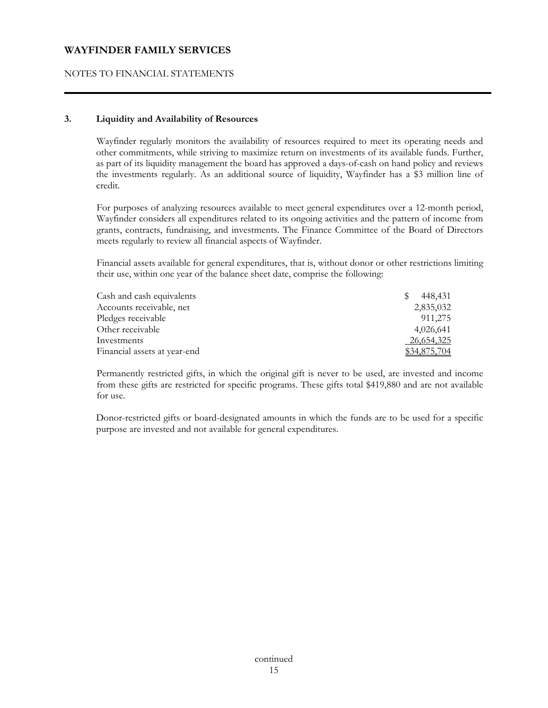# NOTES TO FINANCIAL STATEMENTS

#### **3. Liquidity and Availability of Resources**

Wayfinder regularly monitors the availability of resources required to meet its operating needs and other commitments, while striving to maximize return on investments of its available funds. Further, as part of its liquidity management the board has approved a days-of-cash on hand policy and reviews the investments regularly. As an additional source of liquidity, Wayfinder has a \$3 million line of credit.

For purposes of analyzing resources available to meet general expenditures over a 12-month period, Wayfinder considers all expenditures related to its ongoing activities and the pattern of income from grants, contracts, fundraising, and investments. The Finance Committee of the Board of Directors meets regularly to review all financial aspects of Wayfinder.

Financial assets available for general expenditures, that is, without donor or other restrictions limiting their use, within one year of the balance sheet date, comprise the following:

| Cash and cash equivalents    | 448.431      |
|------------------------------|--------------|
| Accounts receivable, net     | 2,835,032    |
| Pledges receivable           | 911.275      |
| Other receivable             | 4,026,641    |
| Investments                  | 26,654,325   |
| Financial assets at year-end | \$34,875,704 |

Permanently restricted gifts, in which the original gift is never to be used, are invested and income from these gifts are restricted for specific programs. These gifts total \$419,880 and are not available for use.

Donor-restricted gifts or board-designated amounts in which the funds are to be used for a specific purpose are invested and not available for general expenditures.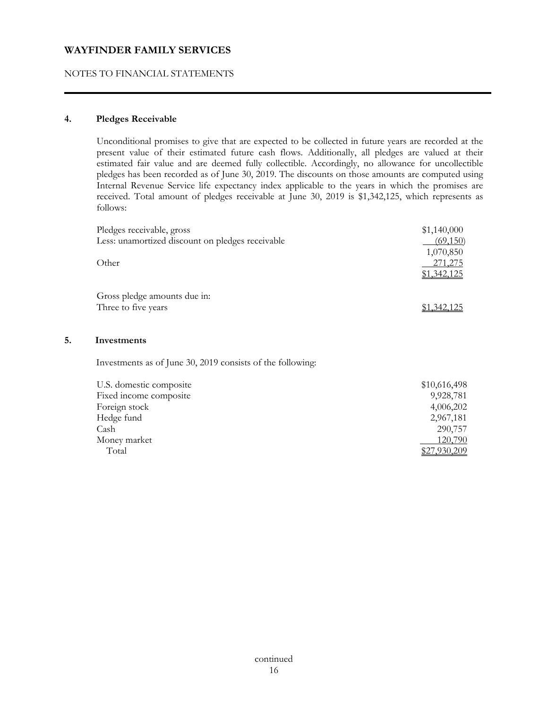#### NOTES TO FINANCIAL STATEMENTS

# **4. Pledges Receivable**

 Unconditional promises to give that are expected to be collected in future years are recorded at the present value of their estimated future cash flows. Additionally, all pledges are valued at their estimated fair value and are deemed fully collectible. Accordingly, no allowance for uncollectible pledges has been recorded as of June 30, 2019. The discounts on those amounts are computed using Internal Revenue Service life expectancy index applicable to the years in which the promises are received. Total amount of pledges receivable at June 30, 2019 is \$1,342,125, which represents as follows:

|   | Pledges receivable, gross                        | \$1,140,000 |
|---|--------------------------------------------------|-------------|
|   | Less: unamortized discount on pledges receivable | (69,150)    |
|   |                                                  | 1,070,850   |
|   | Other                                            | 271,275     |
|   |                                                  | \$1,342,125 |
|   | Gross pledge amounts due in:                     |             |
|   | Three to five years                              | \$1,342,125 |
|   |                                                  |             |
| Е | Lassantan na to                                  |             |

### **5. Investments**

Investments as of June 30, 2019 consists of the following:

| U.S. domestic composite | \$10,616,498   |
|-------------------------|----------------|
| Fixed income composite  | 9,928,781      |
| Foreign stock           | 4,006,202      |
| Hedge fund              | 2,967,181      |
| Cash                    | 290,757        |
| Money market            | 120,790        |
| Total                   | <u>930,209</u> |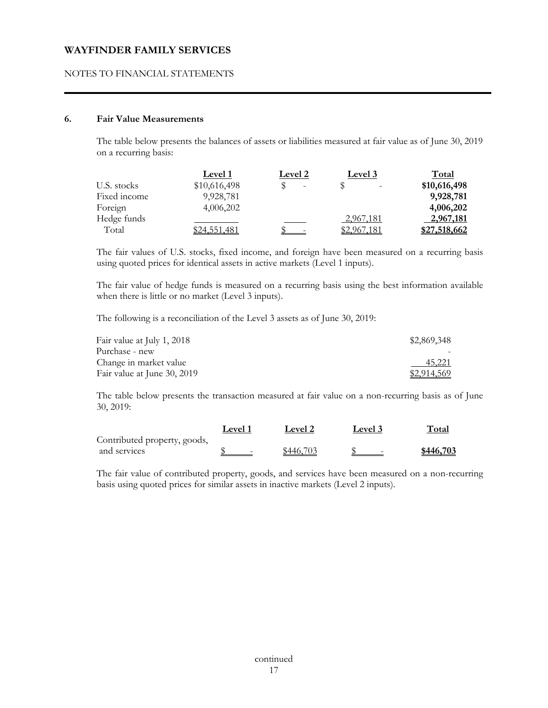### NOTES TO FINANCIAL STATEMENTS

# **6. Fair Value Measurements**

The table below presents the balances of assets or liabilities measured at fair value as of June 30, 2019 on a recurring basis:

|              | Level 1      | Level 2                  | Level 3                  | Total        |
|--------------|--------------|--------------------------|--------------------------|--------------|
| U.S. stocks  | \$10,616,498 | $\overline{\phantom{a}}$ | $\overline{\phantom{a}}$ | \$10,616,498 |
| Fixed income | 9,928,781    |                          |                          | 9,928,781    |
| Foreign      | 4,006,202    |                          |                          | 4,006,202    |
| Hedge funds  |              |                          | 2,967,181                | 2,967,181    |
| Total        | \$24,551,481 |                          | \$2,967,181              | \$27,518,662 |

The fair values of U.S. stocks, fixed income, and foreign have been measured on a recurring basis using quoted prices for identical assets in active markets (Level 1 inputs).

The fair value of hedge funds is measured on a recurring basis using the best information available when there is little or no market (Level 3 inputs).

The following is a reconciliation of the Level 3 assets as of June 30, 2019:

| Fair value at July 1, 2018  | \$2,869,348 |
|-----------------------------|-------------|
| Purchase - new              |             |
| Change in market value      | 45,221      |
| Fair value at June 30, 2019 | \$2,914,569 |

The table below presents the transaction measured at fair value on a non-recurring basis as of June 30, 2019:

|                              | Level <sup>2</sup>       | <b>Level 2</b> | Level 3                  | Total     |
|------------------------------|--------------------------|----------------|--------------------------|-----------|
| Contributed property, goods, |                          |                |                          |           |
| and services                 | $\overline{\phantom{0}}$ |                | $\overline{\phantom{0}}$ | \$446,703 |

The fair value of contributed property, goods, and services have been measured on a non-recurring basis using quoted prices for similar assets in inactive markets (Level 2 inputs).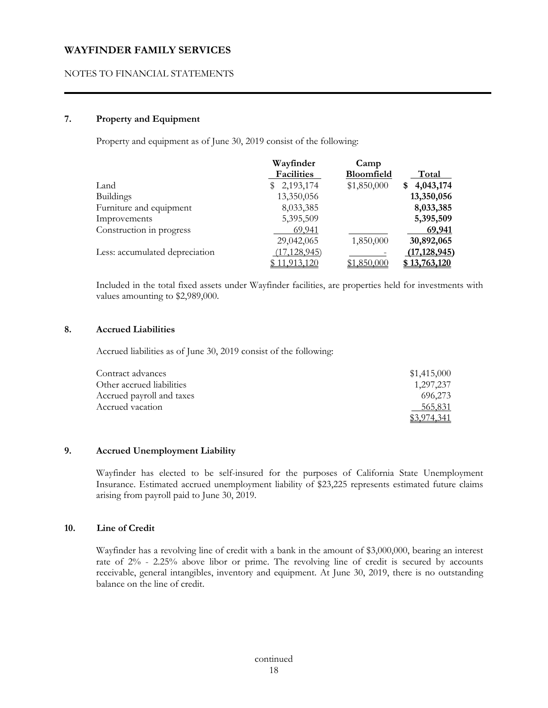### NOTES TO FINANCIAL STATEMENTS

#### **7. Property and Equipment**

Property and equipment as of June 30, 2019 consist of the following:

|                                | Wayfinder         | Camp              |                |
|--------------------------------|-------------------|-------------------|----------------|
|                                | <b>Facilities</b> | <b>Bloomfield</b> | <b>Total</b>   |
| Land                           | \$2,193,174       | \$1,850,000       | \$4,043,174    |
| <b>Buildings</b>               | 13,350,056        |                   | 13,350,056     |
| Furniture and equipment        | 8,033,385         |                   | 8,033,385      |
| Improvements                   | 5,395,509         |                   | 5,395,509      |
| Construction in progress       | 69,941            |                   | 69,941         |
|                                | 29,042,065        | 1,850,000         | 30,892,065     |
| Less: accumulated depreciation | (17, 128, 945)    |                   | (17, 128, 945) |
|                                | 11,913,120        | \$1,850,000       | \$13,763,120   |
|                                |                   |                   |                |

Included in the total fixed assets under Wayfinder facilities, are properties held for investments with values amounting to \$2,989,000.

# **8. Accrued Liabilities**

Accrued liabilities as of June 30, 2019 consist of the following:

| Contract advances         | \$1,415,000 |
|---------------------------|-------------|
| Other accrued liabilities | 1,297,237   |
| Accrued payroll and taxes | 696,273     |
| Accrued vacation          | 565,831     |
|                           |             |

#### **9. Accrued Unemployment Liability**

 Wayfinder has elected to be self-insured for the purposes of California State Unemployment Insurance. Estimated accrued unemployment liability of \$23,225 represents estimated future claims arising from payroll paid to June 30, 2019.

#### **10. Line of Credit**

 Wayfinder has a revolving line of credit with a bank in the amount of \$3,000,000, bearing an interest rate of 2% - 2.25% above libor or prime. The revolving line of credit is secured by accounts receivable, general intangibles, inventory and equipment. At June 30, 2019, there is no outstanding balance on the line of credit.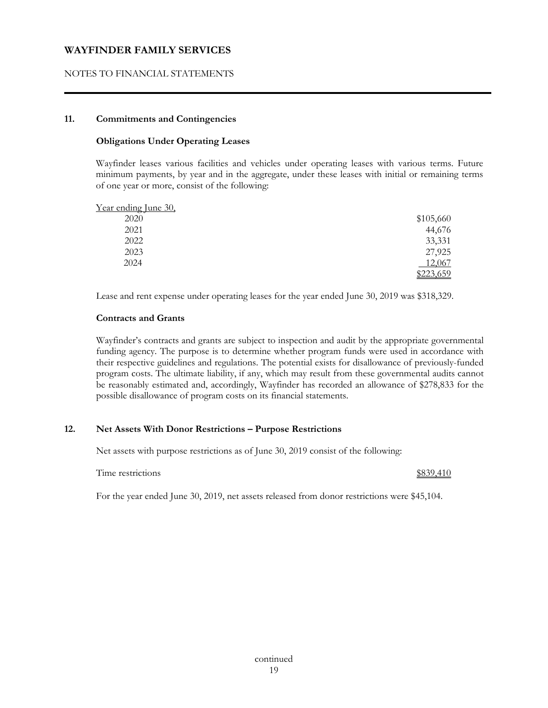# NOTES TO FINANCIAL STATEMENTS

# **11. Commitments and Contingencies**

#### **Obligations Under Operating Leases**

Wayfinder leases various facilities and vehicles under operating leases with various terms. Future minimum payments, by year and in the aggregate, under these leases with initial or remaining terms of one year or more, consist of the following:

| Year ending June 30, |                  |
|----------------------|------------------|
| 2020                 | \$105,660        |
| 2021                 | 44,676           |
| 2022                 | 33,331           |
| 2023                 | 27,925           |
| 2024                 | 12,067           |
|                      | <u>\$223,659</u> |

Lease and rent expense under operating leases for the year ended June 30, 2019 was \$318,329.

#### **Contracts and Grants**

 Wayfinder's contracts and grants are subject to inspection and audit by the appropriate governmental funding agency. The purpose is to determine whether program funds were used in accordance with their respective guidelines and regulations. The potential exists for disallowance of previously-funded program costs. The ultimate liability, if any, which may result from these governmental audits cannot be reasonably estimated and, accordingly, Wayfinder has recorded an allowance of \$278,833 for the possible disallowance of program costs on its financial statements.

# **12. Net Assets With Donor Restrictions – Purpose Restrictions**

Net assets with purpose restrictions as of June 30, 2019 consist of the following:

Time restrictions  $$839,410$ 

For the year ended June 30, 2019, net assets released from donor restrictions were \$45,104.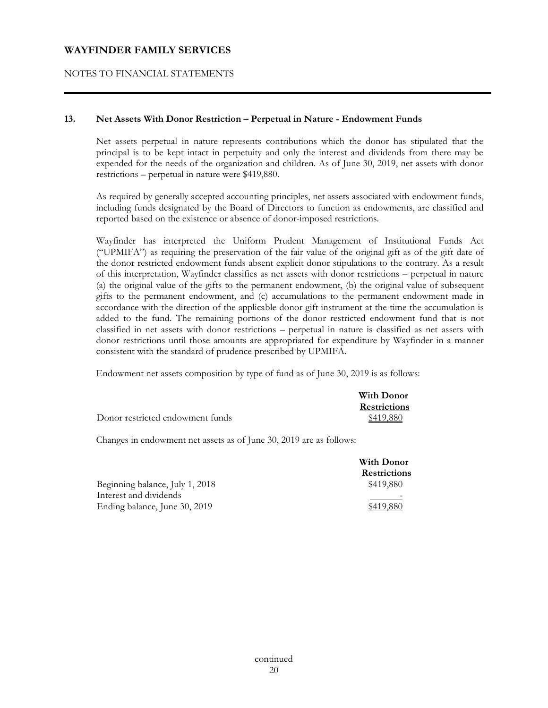# NOTES TO FINANCIAL STATEMENTS

#### **13. Net Assets With Donor Restriction – Perpetual in Nature - Endowment Funds**

 Net assets perpetual in nature represents contributions which the donor has stipulated that the principal is to be kept intact in perpetuity and only the interest and dividends from there may be expended for the needs of the organization and children. As of June 30, 2019, net assets with donor restrictions – perpetual in nature were \$419,880.

As required by generally accepted accounting principles, net assets associated with endowment funds, including funds designated by the Board of Directors to function as endowments, are classified and reported based on the existence or absence of donor-imposed restrictions.

 Wayfinder has interpreted the Uniform Prudent Management of Institutional Funds Act ("UPMIFA") as requiring the preservation of the fair value of the original gift as of the gift date of the donor restricted endowment funds absent explicit donor stipulations to the contrary. As a result of this interpretation, Wayfinder classifies as net assets with donor restrictions – perpetual in nature (a) the original value of the gifts to the permanent endowment, (b) the original value of subsequent gifts to the permanent endowment, and (c) accumulations to the permanent endowment made in accordance with the direction of the applicable donor gift instrument at the time the accumulation is added to the fund. The remaining portions of the donor restricted endowment fund that is not classified in net assets with donor restrictions – perpetual in nature is classified as net assets with donor restrictions until those amounts are appropriated for expenditure by Wayfinder in a manner consistent with the standard of prudence prescribed by UPMIFA.

Endowment net assets composition by type of fund as of June 30, 2019 is as follows:

|                                  | <b>With Donor</b>   |
|----------------------------------|---------------------|
|                                  | <b>Restrictions</b> |
| Donor restricted endowment funds | \$419,880           |

Changes in endowment net assets as of June 30, 2019 are as follows:

|                                 | With Donor          |
|---------------------------------|---------------------|
|                                 | <b>Restrictions</b> |
| Beginning balance, July 1, 2018 | \$419,880           |
| Interest and dividends          |                     |
| Ending balance, June 30, 2019   | \$419.880           |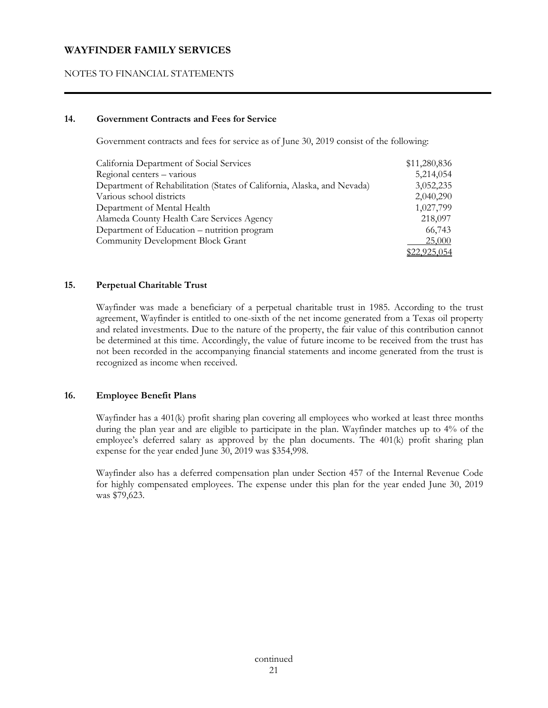### NOTES TO FINANCIAL STATEMENTS

# **14. Government Contracts and Fees for Service**

Government contracts and fees for service as of June 30, 2019 consist of the following:

| California Department of Social Services                                | \$11,280,836        |
|-------------------------------------------------------------------------|---------------------|
| Regional centers - various                                              | 5,214,054           |
| Department of Rehabilitation (States of California, Alaska, and Nevada) | 3,052,235           |
| Various school districts                                                | 2,040,290           |
| Department of Mental Health                                             | 1,027,799           |
| Alameda County Health Care Services Agency                              | 218,097             |
| Department of Education - nutrition program                             | 66,743              |
| Community Development Block Grant                                       | 25,000              |
|                                                                         | <u>\$22,925,054</u> |

#### **15. Perpetual Charitable Trust**

 Wayfinder was made a beneficiary of a perpetual charitable trust in 1985. According to the trust agreement, Wayfinder is entitled to one-sixth of the net income generated from a Texas oil property and related investments. Due to the nature of the property, the fair value of this contribution cannot be determined at this time. Accordingly, the value of future income to be received from the trust has not been recorded in the accompanying financial statements and income generated from the trust is recognized as income when received.

#### **16. Employee Benefit Plans**

 Wayfinder has a 401(k) profit sharing plan covering all employees who worked at least three months during the plan year and are eligible to participate in the plan. Wayfinder matches up to 4% of the employee's deferred salary as approved by the plan documents. The 401(k) profit sharing plan expense for the year ended June 30, 2019 was \$354,998.

 Wayfinder also has a deferred compensation plan under Section 457 of the Internal Revenue Code for highly compensated employees. The expense under this plan for the year ended June 30, 2019 was \$79,623.